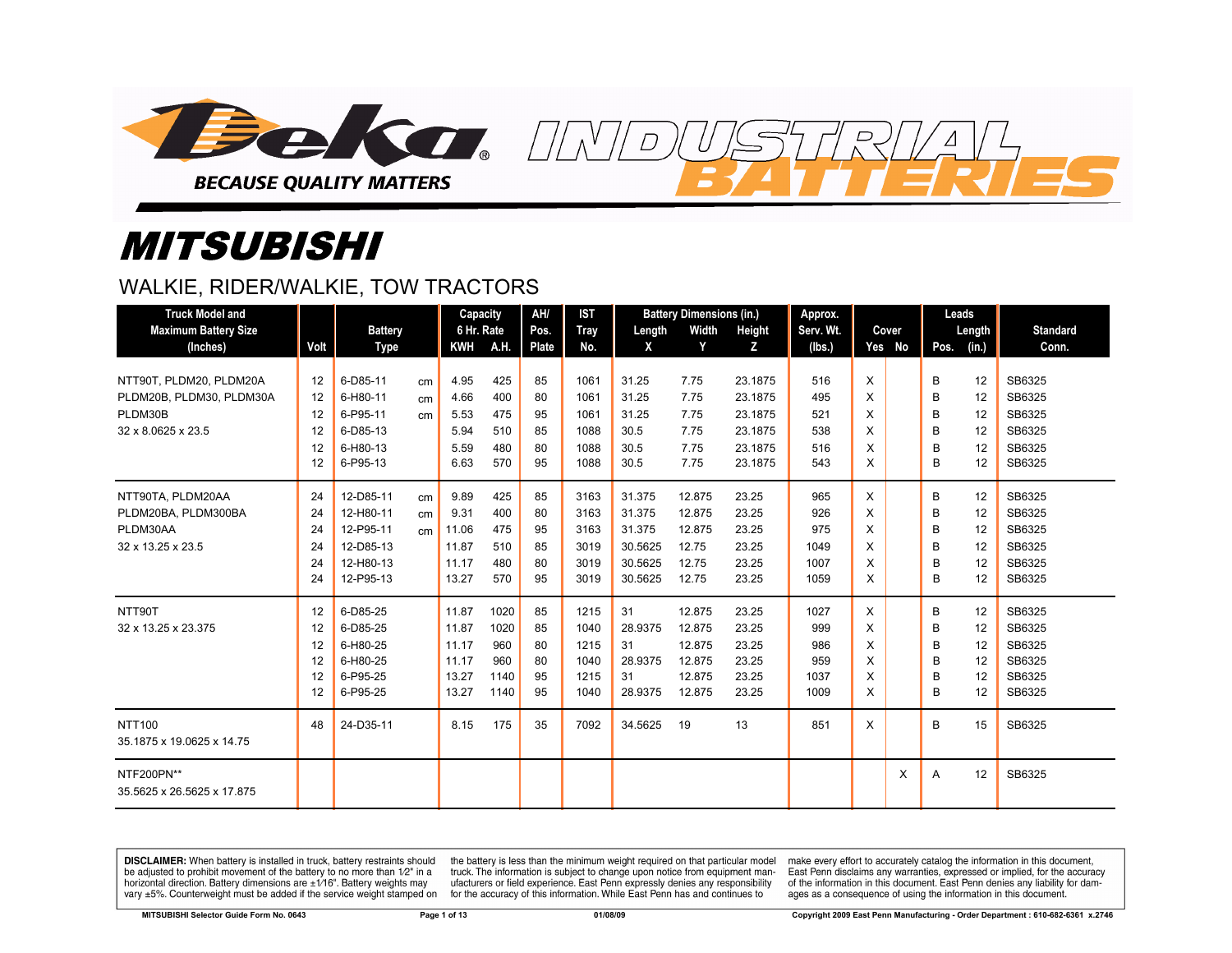

# *MITSUBISHI*

## WALKIE, RIDER/WALKIE, TOW TRACTORS

| <b>Truck Model and</b>                   |      |                |    | Capacity   |      | AH/          | <b>IST</b>  |         | <b>Battery Dimensions (in.)</b> |         | Approx.   |          |        |      | Leads  |                 |
|------------------------------------------|------|----------------|----|------------|------|--------------|-------------|---------|---------------------------------|---------|-----------|----------|--------|------|--------|-----------------|
| <b>Maximum Battery Size</b>              |      | <b>Battery</b> |    | 6 Hr. Rate |      | Pos.         | <b>Tray</b> | Length  | Width                           | Height  | Serv. Wt. |          | Cover  |      | Length | <b>Standard</b> |
| (Inches)                                 | Volt | Type           |    | <b>KWH</b> | A.H. | <b>Plate</b> | No.         | X       | Y                               | Z       | (lbs.)    |          | Yes No | Pos. | (in.)  | Conn.           |
| NTT90T, PLDM20, PLDM20A                  | 12   | 6-D85-11       | cm | 4.95       | 425  | 85           | 1061        | 31.25   | 7.75                            | 23.1875 | 516       | X        |        | B    | 12     | SB6325          |
| PLDM20B, PLDM30, PLDM30A                 | 12   | 6-H80-11       | cm | 4.66       | 400  | 80           | 1061        | 31.25   | 7.75                            | 23.1875 | 495       | X        |        | B    | 12     | SB6325          |
| PLDM30B                                  | 12   | 6-P95-11       | cm | 5.53       | 475  | 95           | 1061        | 31.25   | 7.75                            | 23.1875 | 521       | X        |        | B    | 12     | SB6325          |
| 32 x 8.0625 x 23.5                       | 12   | 6-D85-13       |    | 5.94       | 510  | 85           | 1088        | 30.5    | 7.75                            | 23.1875 | 538       | X        |        | B    | 12     | SB6325          |
|                                          | 12   | 6-H80-13       |    | 5.59       | 480  | 80           | 1088        | 30.5    | 7.75                            | 23.1875 | 516       | X        |        | B    | 12     | SB6325          |
|                                          | 12   | 6-P95-13       |    | 6.63       | 570  | 95           | 1088        | 30.5    | 7.75                            | 23.1875 | 543       | X        |        | B    | 12     | SB6325          |
| NTT90TA, PLDM20AA                        | 24   | 12-D85-11      | cm | 9.89       | 425  | 85           | 3163        | 31.375  | 12.875                          | 23.25   | 965       | $\times$ |        | B    | 12     | SB6325          |
| PLDM20BA, PLDM300BA                      | 24   | 12-H80-11      | cm | 9.31       | 400  | 80           | 3163        | 31.375  | 12.875                          | 23.25   | 926       | X        |        | B    | 12     | SB6325          |
| PLDM30AA                                 | 24   | 12-P95-11      | cm | 11.06      | 475  | 95           | 3163        | 31.375  | 12.875                          | 23.25   | 975       | X        |        | B    | 12     | SB6325          |
| 32 x 13.25 x 23.5                        | 24   | 12-D85-13      |    | 11.87      | 510  | 85           | 3019        | 30.5625 | 12.75                           | 23.25   | 1049      | X        |        | B    | 12     | SB6325          |
|                                          | 24   | 12-H80-13      |    | 11.17      | 480  | 80           | 3019        | 30.5625 | 12.75                           | 23.25   | 1007      | X        |        | B    | 12     | SB6325          |
|                                          | 24   | 12-P95-13      |    | 13.27      | 570  | 95           | 3019        | 30.5625 | 12.75                           | 23.25   | 1059      | X        |        | B    | 12     | SB6325          |
| NTT90T                                   | 12   | 6-D85-25       |    | 11.87      | 1020 | 85           | 1215        | 31      | 12.875                          | 23.25   | 1027      | $\times$ |        | B    | 12     | SB6325          |
| 32 x 13.25 x 23.375                      | 12   | 6-D85-25       |    | 11.87      | 1020 | 85           | 1040        | 28.9375 | 12.875                          | 23.25   | 999       | X        |        | B    | 12     | SB6325          |
|                                          | 12   | 6-H80-25       |    | 11.17      | 960  | 80           | 1215        | 31      | 12.875                          | 23.25   | 986       | X        |        | B    | 12     | SB6325          |
|                                          | 12   | 6-H80-25       |    | 11.17      | 960  | 80           | 1040        | 28.9375 | 12.875                          | 23.25   | 959       | X        |        | B    | 12     | SB6325          |
|                                          | 12   | 6-P95-25       |    | 13.27      | 1140 | 95           | 1215        | 31      | 12.875                          | 23.25   | 1037      | X        |        | B    | 12     | SB6325          |
|                                          | 12   | 6-P95-25       |    | 13.27      | 1140 | 95           | 1040        | 28.9375 | 12.875                          | 23.25   | 1009      | X        |        | B    | 12     | SB6325          |
| <b>NTT100</b>                            | 48   | 24-D35-11      |    | 8.15       | 175  | 35           | 7092        | 34.5625 | 19                              | 13      | 851       | X        |        | B    | 15     | SB6325          |
| 35.1875 x 19.0625 x 14.75                |      |                |    |            |      |              |             |         |                                 |         |           |          |        |      |        |                 |
| NTF200PN**<br>35.5625 x 26.5625 x 17.875 |      |                |    |            |      |              |             |         |                                 |         |           |          | X      | A    | 12     | SB6325          |
|                                          |      |                |    |            |      |              |             |         |                                 |         |           |          |        |      |        |                 |

DISCLAIMER: When battery is installed in truck, battery restraints should be adjusted to prohibit movement of the battery to no more than 1/2" in a horizontal direction. Battery dimensions are  $\pm 1/16$ ". Battery weights may vary ±5%. Counterweight must be added if the service weight stamped on

the battery is less than the minimum weight required on that particular model truck. The information is subject to change upon notice from equipment manufacturers or field experience. East Penn expressly denies any responsibility for the accuracy of this information. While East Penn has and continues to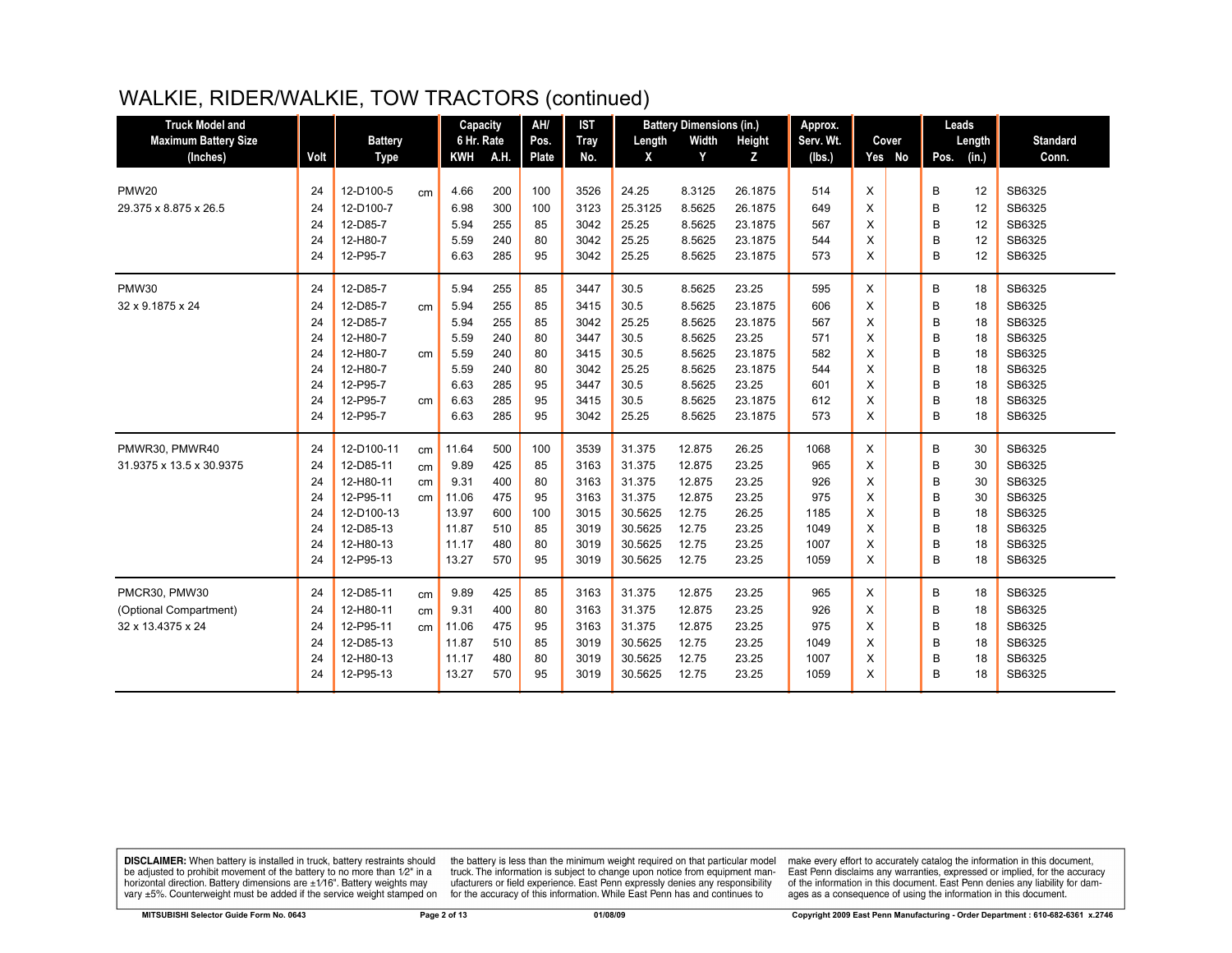# WALKIE, RIDER/WALKIE, TOW TRACTORS (continued)

| <b>Truck Model and</b>      |      |                |                 | Capacity   |      | AH/   | <b>IST</b>  |         | <b>Battery Dimensions (in.)</b> |         | Approx.   |   |        | Leads |        |                 |
|-----------------------------|------|----------------|-----------------|------------|------|-------|-------------|---------|---------------------------------|---------|-----------|---|--------|-------|--------|-----------------|
| <b>Maximum Battery Size</b> |      | <b>Battery</b> |                 | 6 Hr. Rate |      | Pos.  | <b>Tray</b> | Length  | Width                           | Height  | Serv. Wt. |   | Cover  |       | Length | <b>Standard</b> |
| (Inches)                    | Volt | <b>Type</b>    |                 | <b>KWH</b> | A.H. | Plate | No.         | X       | Y                               | Z       | (lbs.)    |   | Yes No | Pos.  | (in.)  | Conn.           |
|                             |      |                |                 |            |      |       |             |         |                                 |         |           |   |        |       |        |                 |
| <b>PMW20</b>                | 24   | 12-D100-5      | cm              | 4.66       | 200  | 100   | 3526        | 24.25   | 8.3125                          | 26.1875 | 514       | X |        | B     | 12     | SB6325          |
| 29.375 x 8.875 x 26.5       | 24   | 12-D100-7      |                 | 6.98       | 300  | 100   | 3123        | 25.3125 | 8.5625                          | 26.1875 | 649       | X |        | B     | 12     | SB6325          |
|                             | 24   | 12-D85-7       |                 | 5.94       | 255  | 85    | 3042        | 25.25   | 8.5625                          | 23.1875 | 567       | X |        | B     | 12     | SB6325          |
|                             | 24   | 12-H80-7       |                 | 5.59       | 240  | 80    | 3042        | 25.25   | 8.5625                          | 23.1875 | 544       | X |        | B     | 12     | SB6325          |
|                             | 24   | 12-P95-7       |                 | 6.63       | 285  | 95    | 3042        | 25.25   | 8.5625                          | 23.1875 | 573       | X |        | B     | 12     | SB6325          |
| <b>PMW30</b>                | 24   | 12-D85-7       |                 | 5.94       | 255  | 85    | 3447        | 30.5    | 8.5625                          | 23.25   | 595       | X |        | B     | 18     | SB6325          |
| 32 x 9.1875 x 24            | 24   | 12-D85-7       | cm              | 5.94       | 255  | 85    | 3415        | 30.5    | 8.5625                          | 23.1875 | 606       | X |        | B     | 18     | SB6325          |
|                             | 24   | 12-D85-7       |                 | 5.94       | 255  | 85    | 3042        | 25.25   | 8.5625                          | 23.1875 | 567       | X |        | B     | 18     | SB6325          |
|                             | 24   | 12-H80-7       |                 | 5.59       | 240  | 80    | 3447        | 30.5    | 8.5625                          | 23.25   | 571       | X |        | B     | 18     | SB6325          |
|                             | 24   | 12-H80-7       | cm <sub>2</sub> | 5.59       | 240  | 80    | 3415        | 30.5    | 8.5625                          | 23.1875 | 582       | X |        | B     | 18     | SB6325          |
|                             | 24   | 12-H80-7       |                 | 5.59       | 240  | 80    | 3042        | 25.25   | 8.5625                          | 23.1875 | 544       | X |        | B     | 18     | SB6325          |
|                             | 24   | 12-P95-7       |                 | 6.63       | 285  | 95    | 3447        | 30.5    | 8.5625                          | 23.25   | 601       | X |        | B     | 18     | SB6325          |
|                             | 24   | 12-P95-7       | cm              | 6.63       | 285  | 95    | 3415        | 30.5    | 8.5625                          | 23.1875 | 612       | X |        | B     | 18     | SB6325          |
|                             | 24   | 12-P95-7       |                 | 6.63       | 285  | 95    | 3042        | 25.25   | 8.5625                          | 23.1875 | 573       | X |        | B     | 18     | SB6325          |
| PMWR30, PMWR40              | 24   | 12-D100-11     | cm              | 11.64      | 500  | 100   | 3539        | 31.375  | 12.875                          | 26.25   | 1068      | X |        | B     | 30     | SB6325          |
| 31.9375 x 13.5 x 30.9375    | 24   | 12-D85-11      | cm              | 9.89       | 425  | 85    | 3163        | 31.375  | 12.875                          | 23.25   | 965       | X |        | B     | 30     | SB6325          |
|                             | 24   | 12-H80-11      | cm              | 9.31       | 400  | 80    | 3163        | 31.375  | 12.875                          | 23.25   | 926       | X |        | B     | 30     | SB6325          |
|                             | 24   | 12-P95-11      | cm              | 11.06      | 475  | 95    | 3163        | 31.375  | 12.875                          | 23.25   | 975       | X |        | B     | 30     | SB6325          |
|                             | 24   | 12-D100-13     |                 | 13.97      | 600  | 100   | 3015        | 30.5625 | 12.75                           | 26.25   | 1185      | X |        | B     | 18     | SB6325          |
|                             | 24   | 12-D85-13      |                 | 11.87      | 510  | 85    | 3019        | 30.5625 | 12.75                           | 23.25   | 1049      | X |        | B     | 18     | SB6325          |
|                             | 24   | 12-H80-13      |                 | 11.17      | 480  | 80    | 3019        | 30.5625 | 12.75                           | 23.25   | 1007      | X |        | B     | 18     | SB6325          |
|                             | 24   | 12-P95-13      |                 | 13.27      | 570  | 95    | 3019        | 30.5625 | 12.75                           | 23.25   | 1059      | X |        | B     | 18     | SB6325          |
| PMCR30, PMW30               | 24   | 12-D85-11      | cm              | 9.89       | 425  | 85    | 3163        | 31.375  | 12.875                          | 23.25   | 965       | X |        | B     | 18     | SB6325          |
| (Optional Compartment)      | 24   | 12-H80-11      | cm              | 9.31       | 400  | 80    | 3163        | 31.375  | 12.875                          | 23.25   | 926       | X |        | B     | 18     | SB6325          |
| 32 x 13.4375 x 24           | 24   | 12-P95-11      | cm              | 11.06      | 475  | 95    | 3163        | 31.375  | 12.875                          | 23.25   | 975       | X |        | B     | 18     | SB6325          |
|                             | 24   | 12-D85-13      |                 | 11.87      | 510  | 85    | 3019        | 30.5625 | 12.75                           | 23.25   | 1049      | X |        | B     | 18     | SB6325          |
|                             | 24   | 12-H80-13      |                 | 11.17      | 480  | 80    | 3019        | 30.5625 | 12.75                           | 23.25   | 1007      | X |        | B     | 18     | SB6325          |
|                             | 24   | 12-P95-13      |                 | 13.27      | 570  | 95    | 3019        | 30.5625 | 12.75                           | 23.25   | 1059      | X |        | B     | 18     | SB6325          |
|                             |      |                |                 |            |      |       |             |         |                                 |         |           |   |        |       |        |                 |

**DISCLAIMER:** When battery is installed in truck, battery restraints should be adjusted to prohibit movement of the battery to no more than  $12^v$  in a horizontal direction. Battery dimensions are  $\pm 1/16^v$ . Battery wei

the battery is less than the minimum weight required on that particular model<br>truck. The information is subject to change upon notice from equipment manufacturers or field experience. East Penn expressly denies any responsibility for the accuracy of this information. While East Penn has and continues to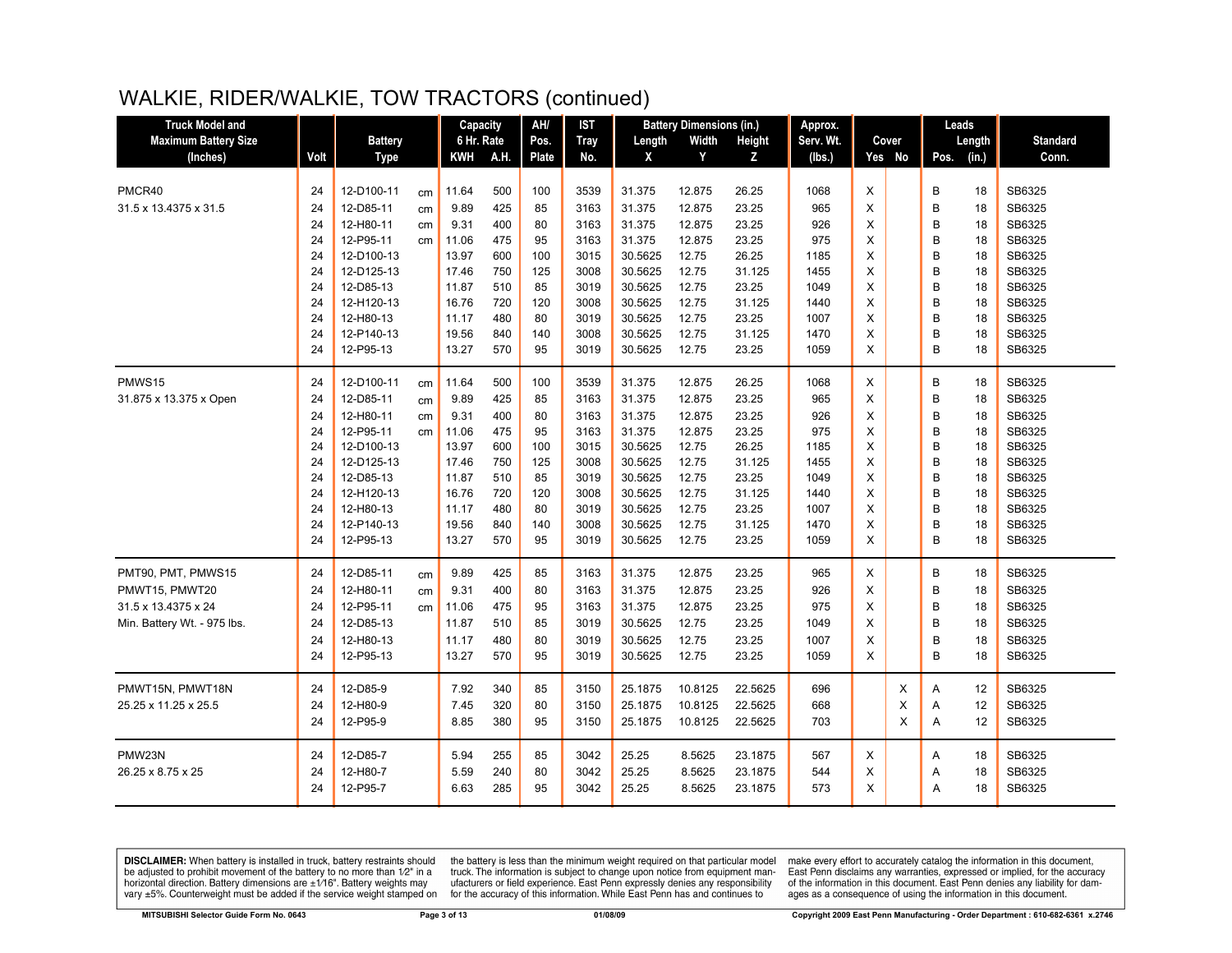## WALKIE, RIDER/WALKIE, TOW TRACTORS (continued)

| <b>Truck Model and</b>                                                                     |                                                                |                                                                                                                                                  |                      | Capacity                                                                                      |                                                                           | AH/                                                                 | <b>IST</b>                                                                           |                                                                                                                   | <b>Battery Dimensions (in.)</b>                                                                     |                                                                                                    | Approx.                                                                           |                                                     |             | Leads                                               |                                                                |                                                                                                            |
|--------------------------------------------------------------------------------------------|----------------------------------------------------------------|--------------------------------------------------------------------------------------------------------------------------------------------------|----------------------|-----------------------------------------------------------------------------------------------|---------------------------------------------------------------------------|---------------------------------------------------------------------|--------------------------------------------------------------------------------------|-------------------------------------------------------------------------------------------------------------------|-----------------------------------------------------------------------------------------------------|----------------------------------------------------------------------------------------------------|-----------------------------------------------------------------------------------|-----------------------------------------------------|-------------|-----------------------------------------------------|----------------------------------------------------------------|------------------------------------------------------------------------------------------------------------|
| <b>Maximum Battery Size</b>                                                                |                                                                | <b>Battery</b>                                                                                                                                   |                      | 6 Hr. Rate                                                                                    |                                                                           | Pos.                                                                | <b>Tray</b>                                                                          | Length                                                                                                            | Width                                                                                               | Height                                                                                             | Serv. Wt.                                                                         |                                                     | Cover       | Length                                              |                                                                | <b>Standard</b>                                                                                            |
| (Inches)                                                                                   | Volt                                                           | Type                                                                                                                                             |                      | KWH                                                                                           | A.H.                                                                      | Plate                                                               | No.                                                                                  | X                                                                                                                 | Y                                                                                                   | z                                                                                                  | (Ibs.)                                                                            |                                                     | Yes No      | Pos.<br>(in.)                                       |                                                                | Conn.                                                                                                      |
| PMCR40<br>31.5 x 13.4375 x 31.5                                                            | 24<br>24<br>24<br>24<br>24<br>24<br>24<br>24<br>24<br>24       | 12-D100-11<br>12-D85-11<br>12-H80-11<br>12-P95-11<br>12-D100-13<br>12-D125-13<br>12-D85-13<br>12-H120-13<br>12-H80-13<br>12-P140-13              | cm<br>cm<br>cm<br>cm | 11.64<br>9.89<br>9.31<br>11.06<br>13.97<br>17.46<br>11.87<br>16.76<br>11.17<br>19.56          | 500<br>425<br>400<br>475<br>600<br>750<br>510<br>720<br>480<br>840        | 100<br>85<br>80<br>95<br>100<br>125<br>85<br>120<br>80<br>140       | 3539<br>3163<br>3163<br>3163<br>3015<br>3008<br>3019<br>3008<br>3019<br>3008         | 31.375<br>31.375<br>31.375<br>31.375<br>30.5625<br>30.5625<br>30.5625<br>30.5625<br>30.5625<br>30.5625            | 12.875<br>12.875<br>12.875<br>12.875<br>12.75<br>12.75<br>12.75<br>12.75<br>12.75<br>12.75          | 26.25<br>23.25<br>23.25<br>23.25<br>26.25<br>31.125<br>23.25<br>31.125<br>23.25<br>31.125          | 1068<br>965<br>926<br>975<br>1185<br>1455<br>1049<br>1440<br>1007<br>1470         | X<br>X<br>X<br>X<br>X<br>X<br>X<br>X<br>X<br>X      |             | В<br>B<br>B<br>B<br>B<br>B<br>B<br>B<br>B<br>B      | 18<br>18<br>18<br>18<br>18<br>18<br>18<br>18<br>18<br>18       | SB6325<br>SB6325<br>SB6325<br>SB6325<br>SB6325<br>SB6325<br>SB6325<br>SB6325<br>SB6325<br>SB6325           |
|                                                                                            | 24                                                             | 12-P95-13                                                                                                                                        |                      | 13.27                                                                                         | 570                                                                       | 95                                                                  | 3019                                                                                 | 30.5625                                                                                                           | 12.75                                                                                               | 23.25                                                                                              | 1059                                                                              | X                                                   |             | B                                                   | 18                                                             | SB6325                                                                                                     |
| PMWS15<br>31.875 x 13.375 x Open                                                           | 24<br>24<br>24<br>24<br>24<br>24<br>24<br>24<br>24<br>24<br>24 | 12-D100-11<br>12-D85-11<br>12-H80-11<br>12-P95-11<br>12-D100-13<br>12-D125-13<br>12-D85-13<br>12-H120-13<br>12-H80-13<br>12-P140-13<br>12-P95-13 | cm<br>cm<br>cm<br>cm | 11.64<br>9.89<br>9.31<br>11.06<br>13.97<br>17.46<br>11.87<br>16.76<br>11.17<br>19.56<br>13.27 | 500<br>425<br>400<br>475<br>600<br>750<br>510<br>720<br>480<br>840<br>570 | 100<br>85<br>80<br>95<br>100<br>125<br>85<br>120<br>80<br>140<br>95 | 3539<br>3163<br>3163<br>3163<br>3015<br>3008<br>3019<br>3008<br>3019<br>3008<br>3019 | 31.375<br>31.375<br>31.375<br>31.375<br>30.5625<br>30.5625<br>30.5625<br>30.5625<br>30.5625<br>30.5625<br>30.5625 | 12.875<br>12.875<br>12.875<br>12.875<br>12.75<br>12.75<br>12.75<br>12.75<br>12.75<br>12.75<br>12.75 | 26.25<br>23.25<br>23.25<br>23.25<br>26.25<br>31.125<br>23.25<br>31.125<br>23.25<br>31.125<br>23.25 | 1068<br>965<br>926<br>975<br>1185<br>1455<br>1049<br>1440<br>1007<br>1470<br>1059 | X<br>X<br>X<br>X<br>X<br>X<br>X<br>X<br>X<br>X<br>X |             | B<br>B<br>B<br>B<br>B<br>B<br>B<br>B<br>B<br>B<br>B | 18<br>18<br>18<br>18<br>18<br>18<br>18<br>18<br>18<br>18<br>18 | SB6325<br>SB6325<br>SB6325<br>SB6325<br>SB6325<br>SB6325<br>SB6325<br>SB6325<br>SB6325<br>SB6325<br>SB6325 |
| PMT90, PMT, PMWS15<br>PMWT15, PMWT20<br>31.5 x 13.4375 x 24<br>Min. Battery Wt. - 975 lbs. | 24<br>24<br>24<br>24<br>24<br>24                               | 12-D85-11<br>12-H80-11<br>12-P95-11<br>12-D85-13<br>12-H80-13<br>12-P95-13                                                                       | cm<br>cm<br>cm       | 9.89<br>9.31<br>11.06<br>11.87<br>11.17<br>13.27                                              | 425<br>400<br>475<br>510<br>480<br>570                                    | 85<br>80<br>95<br>85<br>80<br>95                                    | 3163<br>3163<br>3163<br>3019<br>3019<br>3019                                         | 31.375<br>31.375<br>31.375<br>30.5625<br>30.5625<br>30.5625                                                       | 12.875<br>12.875<br>12.875<br>12.75<br>12.75<br>12.75                                               | 23.25<br>23.25<br>23.25<br>23.25<br>23.25<br>23.25                                                 | 965<br>926<br>975<br>1049<br>1007<br>1059                                         | X<br>X<br>X<br>X<br>X<br>X                          |             | B<br>B<br>B<br>B<br>B<br>B                          | 18<br>18<br>18<br>18<br>18<br>18                               | SB6325<br>SB6325<br>SB6325<br>SB6325<br>SB6325<br>SB6325                                                   |
| PMWT15N, PMWT18N<br>25.25 x 11.25 x 25.5                                                   | 24<br>24<br>24                                                 | 12-D85-9<br>12-H80-9<br>12-P95-9                                                                                                                 |                      | 7.92<br>7.45<br>8.85                                                                          | 340<br>320<br>380                                                         | 85<br>80<br>95                                                      | 3150<br>3150<br>3150                                                                 | 25.1875<br>25.1875<br>25.1875                                                                                     | 10.8125<br>10.8125<br>10.8125                                                                       | 22.5625<br>22.5625<br>22.5625                                                                      | 696<br>668<br>703                                                                 |                                                     | X<br>X<br>X | Α<br>Α<br>A                                         | 12<br>12<br>12                                                 | SB6325<br>SB6325<br>SB6325                                                                                 |
| PMW23N<br>26.25 x 8.75 x 25                                                                | 24<br>24<br>24                                                 | 12-D85-7<br>12-H80-7<br>12-P95-7                                                                                                                 |                      | 5.94<br>5.59<br>6.63                                                                          | 255<br>240<br>285                                                         | 85<br>80<br>95                                                      | 3042<br>3042<br>3042                                                                 | 25.25<br>25.25<br>25.25                                                                                           | 8.5625<br>8.5625<br>8.5625                                                                          | 23.1875<br>23.1875<br>23.1875                                                                      | 567<br>544<br>573                                                                 | Χ<br>X<br>X                                         |             | A<br>Α<br>A                                         | 18<br>18<br>18                                                 | SB6325<br>SB6325<br>SB6325                                                                                 |

**DISCLAIMER:** When battery is installed in truck, battery restraints should be adjusted to prohibit movement of the battery to no more than  $1/2$ " in a horizontal direction. Battery dimensions are  $\pm 1/16$ ". Battery weig

the battery is less than the minimum weight required on that particular model<br>truck. The information is subject to change upon notice from equipment manufacturers or field experience. East Penn expressly denies any responsibility for the accuracy of this information. While East Penn has and continues to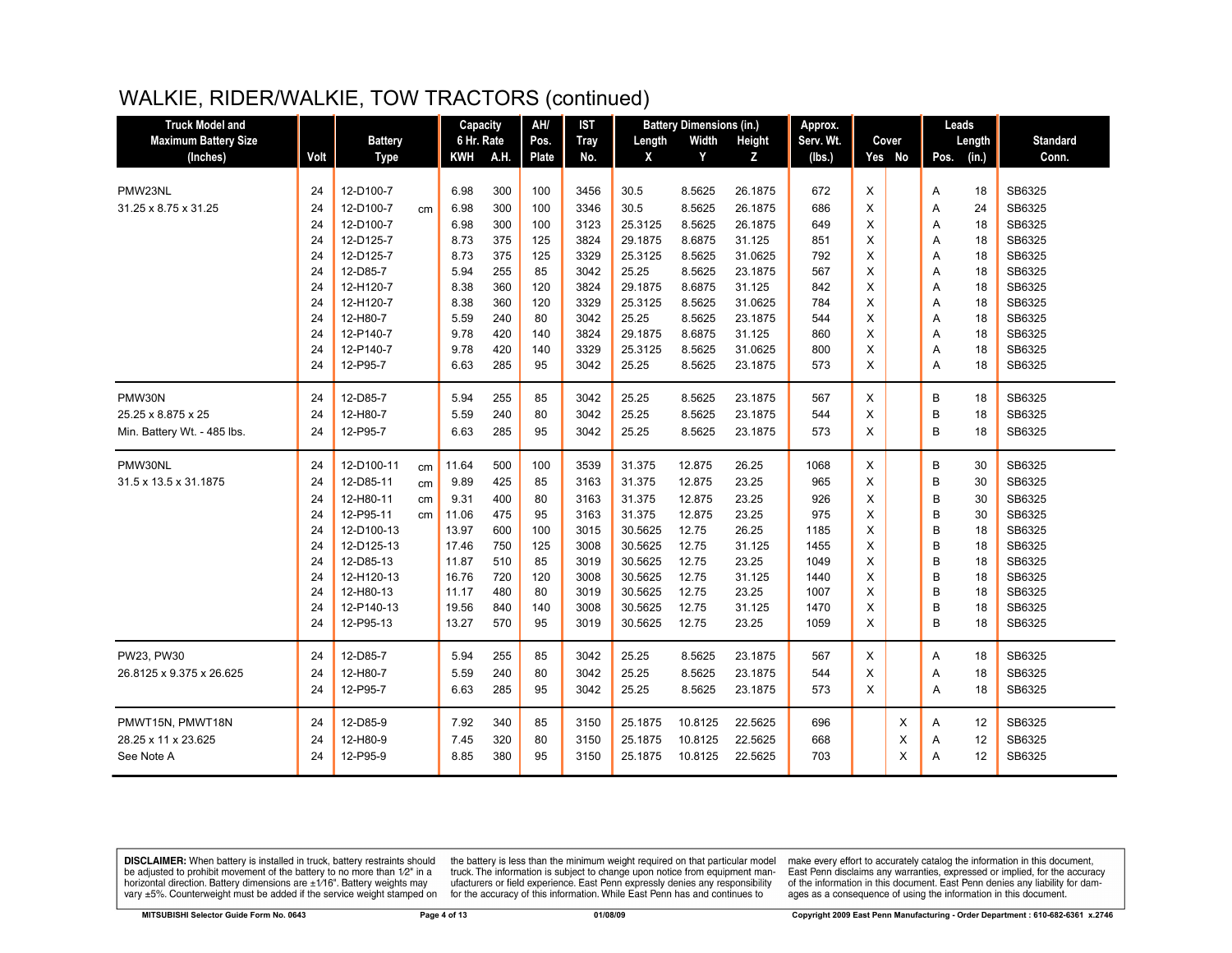## WALKIE, RIDER/WALKIE, TOW TRACTORS (continued)

| <b>Truck Model and</b>      |      |                |    | Capacity   |      | AH/          | <b>IST</b>  |         | <b>Battery Dimensions (in.)</b> |         | Approx.   |   |        |      | Leads  |                 |
|-----------------------------|------|----------------|----|------------|------|--------------|-------------|---------|---------------------------------|---------|-----------|---|--------|------|--------|-----------------|
| <b>Maximum Battery Size</b> |      | <b>Battery</b> |    | 6 Hr. Rate |      | Pos.         | <b>Tray</b> | Length  | Width                           | Height  | Serv. Wt. |   | Cover  |      | Length | <b>Standard</b> |
| (Inches)                    | Volt | <b>Type</b>    |    | <b>KWH</b> | A.H. | <b>Plate</b> | No.         | X       | Y                               | z       | (lbs.)    |   | Yes No | Pos. | (in.)  | Conn.           |
|                             |      |                |    |            |      |              |             |         |                                 |         |           |   |        |      |        |                 |
| PMW23NL                     | 24   | 12-D100-7      |    | 6.98       | 300  | 100          | 3456        | 30.5    | 8.5625                          | 26.1875 | 672       | X |        | Α    | 18     | SB6325          |
| 31.25 x 8.75 x 31.25        | 24   | 12-D100-7      | cm | 6.98       | 300  | 100          | 3346        | 30.5    | 8.5625                          | 26.1875 | 686       | X |        | A    | 24     | SB6325          |
|                             | 24   | 12-D100-7      |    | 6.98       | 300  | 100          | 3123        | 25.3125 | 8.5625                          | 26.1875 | 649       | X |        | A    | 18     | SB6325          |
|                             | 24   | 12-D125-7      |    | 8.73       | 375  | 125          | 3824        | 29.1875 | 8.6875                          | 31.125  | 851       | X |        | A    | 18     | SB6325          |
|                             | 24   | 12-D125-7      |    | 8.73       | 375  | 125          | 3329        | 25.3125 | 8.5625                          | 31.0625 | 792       | X |        | A    | 18     | SB6325          |
|                             | 24   | 12-D85-7       |    | 5.94       | 255  | 85           | 3042        | 25.25   | 8.5625                          | 23.1875 | 567       | X |        | A    | 18     | SB6325          |
|                             | 24   | 12-H120-7      |    | 8.38       | 360  | 120          | 3824        | 29.1875 | 8.6875                          | 31.125  | 842       | X |        | A    | 18     | SB6325          |
|                             | 24   | 12-H120-7      |    | 8.38       | 360  | 120          | 3329        | 25.3125 | 8.5625                          | 31.0625 | 784       | X |        | Α    | 18     | SB6325          |
|                             | 24   | 12-H80-7       |    | 5.59       | 240  | 80           | 3042        | 25.25   | 8.5625                          | 23.1875 | 544       | X |        | Α    | 18     | SB6325          |
|                             | 24   | 12-P140-7      |    | 9.78       | 420  | 140          | 3824        | 29.1875 | 8.6875                          | 31.125  | 860       | X |        | A    | 18     | SB6325          |
|                             | 24   | 12-P140-7      |    | 9.78       | 420  | 140          | 3329        | 25.3125 | 8.5625                          | 31.0625 | 800       | X |        | A    | 18     | SB6325          |
|                             | 24   | 12-P95-7       |    | 6.63       | 285  | 95           | 3042        | 25.25   | 8.5625                          | 23.1875 | 573       | X |        | A    | 18     | SB6325          |
| PMW30N                      | 24   | 12-D85-7       |    | 5.94       | 255  | 85           | 3042        | 25.25   | 8.5625                          | 23.1875 | 567       | X |        | В    | 18     | SB6325          |
|                             |      |                |    |            | 240  |              |             | 25.25   | 8.5625                          |         | 544       |   |        |      | 18     | SB6325          |
| 25.25 x 8.875 x 25          | 24   | 12-H80-7       |    | 5.59       |      | 80           | 3042        |         |                                 | 23.1875 |           | X |        | B    |        |                 |
| Min. Battery Wt. - 485 lbs. | 24   | 12-P95-7       |    | 6.63       | 285  | 95           | 3042        | 25.25   | 8.5625                          | 23.1875 | 573       | X |        | B    | 18     | SB6325          |
| PMW30NL                     | 24   | 12-D100-11     | cm | 11.64      | 500  | 100          | 3539        | 31.375  | 12.875                          | 26.25   | 1068      | X |        | B    | 30     | SB6325          |
| 31.5 x 13.5 x 31.1875       | 24   | 12-D85-11      | cm | 9.89       | 425  | 85           | 3163        | 31.375  | 12.875                          | 23.25   | 965       | X |        | B    | 30     | SB6325          |
|                             | 24   | 12-H80-11      | cm | 9.31       | 400  | 80           | 3163        | 31.375  | 12.875                          | 23.25   | 926       | Х |        | B    | 30     | SB6325          |
|                             | 24   | 12-P95-11      | cm | 11.06      | 475  | 95           | 3163        | 31.375  | 12.875                          | 23.25   | 975       | X |        | B    | 30     | SB6325          |
|                             | 24   | 12-D100-13     |    | 13.97      | 600  | 100          | 3015        | 30.5625 | 12.75                           | 26.25   | 1185      | X |        | B    | 18     | SB6325          |
|                             | 24   | 12-D125-13     |    | 17.46      | 750  | 125          | 3008        | 30.5625 | 12.75                           | 31.125  | 1455      | X |        | B    | 18     | SB6325          |
|                             | 24   | 12-D85-13      |    | 11.87      | 510  | 85           | 3019        | 30.5625 | 12.75                           | 23.25   | 1049      | X |        | B    | 18     | SB6325          |
|                             | 24   | 12-H120-13     |    | 16.76      | 720  | 120          | 3008        | 30.5625 | 12.75                           | 31.125  | 1440      | X |        | B    | 18     | SB6325          |
|                             | 24   | 12-H80-13      |    | 11.17      | 480  | 80           | 3019        | 30.5625 | 12.75                           | 23.25   | 1007      | X |        | B    | 18     | SB6325          |
|                             | 24   | 12-P140-13     |    | 19.56      | 840  | 140          | 3008        | 30.5625 | 12.75                           | 31.125  | 1470      | X |        | B    | 18     | SB6325          |
|                             | 24   | 12-P95-13      |    | 13.27      | 570  | 95           | 3019        | 30.5625 | 12.75                           | 23.25   | 1059      | X |        | B    | 18     | SB6325          |
| PW23, PW30                  | 24   | 12-D85-7       |    | 5.94       | 255  | 85           | 3042        | 25.25   | 8.5625                          | 23.1875 | 567       | X |        | Α    | 18     | SB6325          |
|                             | 24   |                |    |            | 240  | 80           |             | 25.25   | 8.5625                          |         |           | X |        |      | 18     | SB6325          |
| 26.8125 x 9.375 x 26.625    |      | 12-H80-7       |    | 5.59       |      |              | 3042        |         |                                 | 23.1875 | 544       |   |        | Α    |        |                 |
|                             | 24   | 12-P95-7       |    | 6.63       | 285  | 95           | 3042        | 25.25   | 8.5625                          | 23.1875 | 573       | X |        | A    | 18     | SB6325          |
| PMWT15N, PMWT18N            | 24   | 12-D85-9       |    | 7.92       | 340  | 85           | 3150        | 25.1875 | 10.8125                         | 22.5625 | 696       |   | X      | Α    | 12     | SB6325          |
| 28.25 x 11 x 23.625         | 24   | 12-H80-9       |    | 7.45       | 320  | 80           | 3150        | 25.1875 | 10.8125                         | 22.5625 | 668       |   | X      | A    | 12     | SB6325          |
| See Note A                  | 24   | 12-P95-9       |    | 8.85       | 380  | 95           | 3150        | 25.1875 | 10.8125                         | 22.5625 | 703       |   | X      | A    | 12     | SB6325          |
|                             |      |                |    |            |      |              |             |         |                                 |         |           |   |        |      |        |                 |

**DISCLAIMER:** When battery is installed in truck, battery restraints should be adjusted to prohibit movement of the battery to no more than  $12^v$  in a horizontal direction. Battery dimensions are  $\pm 1/16^v$ . Battery wei

the battery is less than the minimum weight required on that particular model<br>truck. The information is subject to change upon notice from equipment manufacturers or field experience. East Penn expressly denies any responsibility for the accuracy of this information. While East Penn has and continues to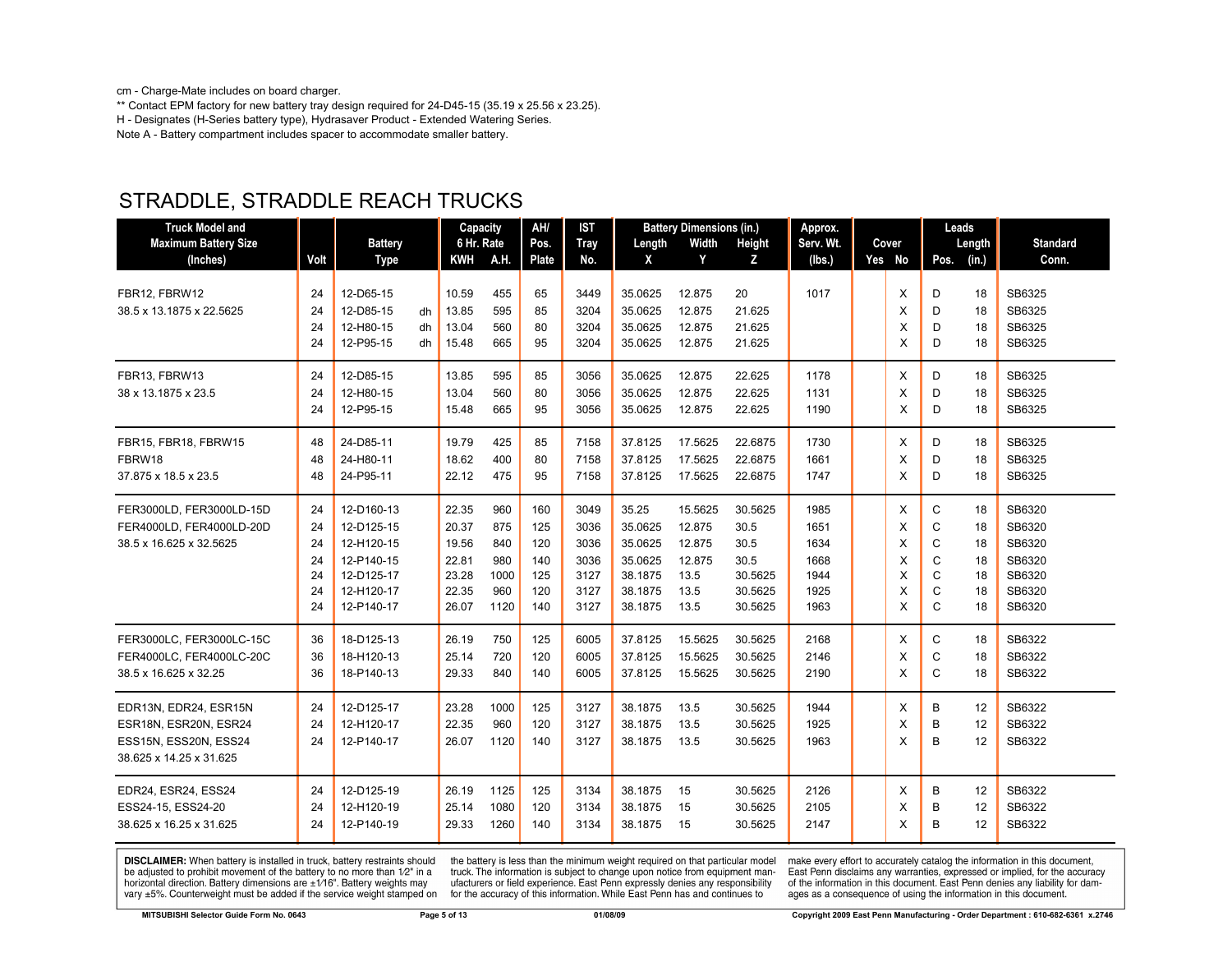cm - Charge-Mate includes on board charger.

\*\* Contact EPM factory for new battery tray design required for 24-D45-15 (35.19 x 25.56 x 23.25). H - Designates (H-Series battery type), Hydrasaver Product - Extended Watering Series. Note A - Battery compartment includes spacer to accommodate smaller battery.

| <b>Truck Model and</b><br><b>Maximum Battery Size</b><br>(Inches)                                  | Volt                                   | <b>Battery</b><br><b>Type</b>                                                                  |                | Capacity<br>6 Hr. Rate<br><b>KWH</b>                        | A.H.                                            | AH/<br>Pos.<br>Plate                          | <b>IST</b><br><b>Tray</b><br>No.                     | Length<br>X                                                             | <b>Battery Dimensions (in.)</b><br>Width<br>Y                 | Height<br>z                                                      | Approx.<br>Serv. Wt.<br>(lbs.)                       | Cover<br>Yes No                 | Leads<br>Length<br>(in.)<br>Pos.                                          | <b>Standard</b><br>Conn.                                           |
|----------------------------------------------------------------------------------------------------|----------------------------------------|------------------------------------------------------------------------------------------------|----------------|-------------------------------------------------------------|-------------------------------------------------|-----------------------------------------------|------------------------------------------------------|-------------------------------------------------------------------------|---------------------------------------------------------------|------------------------------------------------------------------|------------------------------------------------------|---------------------------------|---------------------------------------------------------------------------|--------------------------------------------------------------------|
| FBR12. FBRW12<br>38.5 x 13.1875 x 22.5625                                                          | 24<br>24<br>24<br>24                   | 12-D65-15<br>12-D85-15<br>12-H80-15<br>12-P95-15                                               | dh<br>dh<br>dh | 10.59<br>13.85<br>13.04<br>15.48                            | 455<br>595<br>560<br>665                        | 65<br>85<br>80<br>95                          | 3449<br>3204<br>3204<br>3204                         | 35.0625<br>35.0625<br>35.0625<br>35.0625                                | 12.875<br>12.875<br>12.875<br>12.875                          | 20<br>21.625<br>21.625<br>21.625                                 | 1017                                                 | X<br>X<br>X<br>X                | D<br>18<br>D<br>18<br>D<br>18<br>D<br>18                                  | SB6325<br>SB6325<br>SB6325<br>SB6325                               |
| FBR13, FBRW13<br>38 x 13.1875 x 23.5                                                               | 24<br>24<br>24                         | 12-D85-15<br>12-H80-15<br>12-P95-15                                                            |                | 13.85<br>13.04<br>15.48                                     | 595<br>560<br>665                               | 85<br>80<br>95                                | 3056<br>3056<br>3056                                 | 35.0625<br>35.0625<br>35.0625                                           | 12.875<br>12.875<br>12.875                                    | 22.625<br>22.625<br>22.625                                       | 1178<br>1131<br>1190                                 | X<br>X<br>x                     | D<br>18<br>D<br>18<br>D<br>18                                             | SB6325<br>SB6325<br>SB6325                                         |
| FBR15, FBR18, FBRW15<br>FBRW18<br>37.875 x 18.5 x 23.5                                             | 48<br>48<br>48                         | 24-D85-11<br>24-H80-11<br>24-P95-11                                                            |                | 19.79<br>18.62<br>22.12                                     | 425<br>400<br>475                               | 85<br>80<br>95                                | 7158<br>7158<br>7158                                 | 37.8125<br>37.8125<br>37.8125                                           | 17.5625<br>17.5625<br>17.5625                                 | 22.6875<br>22.6875<br>22.6875                                    | 1730<br>1661<br>1747                                 | X<br>X<br>X                     | D<br>18<br>D<br>18<br>D<br>18                                             | SB6325<br>SB6325<br>SB6325                                         |
| FER3000LD, FER3000LD-15D<br>FER4000LD, FER4000LD-20D<br>38.5 x 16.625 x 32.5625                    | 24<br>24<br>24<br>24<br>24<br>24<br>24 | 12-D160-13<br>12-D125-15<br>12-H120-15<br>12-P140-15<br>12-D125-17<br>12-H120-17<br>12-P140-17 |                | 22.35<br>20.37<br>19.56<br>22.81<br>23.28<br>22.35<br>26.07 | 960<br>875<br>840<br>980<br>1000<br>960<br>1120 | 160<br>125<br>120<br>140<br>125<br>120<br>140 | 3049<br>3036<br>3036<br>3036<br>3127<br>3127<br>3127 | 35.25<br>35.0625<br>35.0625<br>35.0625<br>38.1875<br>38.1875<br>38.1875 | 15.5625<br>12.875<br>12.875<br>12.875<br>13.5<br>13.5<br>13.5 | 30.5625<br>30.5<br>30.5<br>30.5<br>30.5625<br>30.5625<br>30.5625 | 1985<br>1651<br>1634<br>1668<br>1944<br>1925<br>1963 | X<br>X<br>X<br>X<br>X<br>X<br>X | C<br>18<br>C<br>18<br>C<br>18<br>C<br>18<br>C<br>18<br>C<br>18<br>C<br>18 | SB6320<br>SB6320<br>SB6320<br>SB6320<br>SB6320<br>SB6320<br>SB6320 |
| FER3000LC, FER3000LC-15C<br>FER4000LC, FER4000LC-20C<br>38.5 x 16.625 x 32.25                      | 36<br>36<br>36                         | 18-D125-13<br>18-H120-13<br>18-P140-13                                                         |                | 26.19<br>25.14<br>29.33                                     | 750<br>720<br>840                               | 125<br>120<br>140                             | 6005<br>6005<br>6005                                 | 37.8125<br>37.8125<br>37.8125                                           | 15.5625<br>15.5625<br>15.5625                                 | 30.5625<br>30.5625<br>30.5625                                    | 2168<br>2146<br>2190                                 | X<br>X<br>X                     | C<br>18<br>C<br>18<br>C<br>18                                             | SB6322<br>SB6322<br>SB6322                                         |
| EDR13N, EDR24, ESR15N<br>ESR18N, ESR20N, ESR24<br>ESS15N, ESS20N, ESS24<br>38.625 x 14.25 x 31.625 | 24<br>24<br>24                         | 12-D125-17<br>12-H120-17<br>12-P140-17                                                         |                | 23.28<br>22.35<br>26.07                                     | 1000<br>960<br>1120                             | 125<br>120<br>140                             | 3127<br>3127<br>3127                                 | 38.1875<br>38.1875<br>38.1875                                           | 13.5<br>13.5<br>13.5                                          | 30.5625<br>30.5625<br>30.5625                                    | 1944<br>1925<br>1963                                 | X<br>X<br>X                     | B<br>12<br>B<br>12<br>B<br>12                                             | SB6322<br>SB6322<br>SB6322                                         |
| EDR24, ESR24, ESS24<br>ESS24-15, ESS24-20<br>38.625 x 16.25 x 31.625                               | 24<br>24<br>24                         | 12-D125-19<br>12-H120-19<br>12-P140-19                                                         |                | 26.19<br>25.14<br>29.33                                     | 1125<br>1080<br>1260                            | 125<br>120<br>140                             | 3134<br>3134<br>3134                                 | 38.1875<br>38.1875<br>38.1875                                           | 15<br>15<br>15                                                | 30.5625<br>30.5625<br>30.5625                                    | 2126<br>2105<br>2147                                 | X<br>X<br>X                     | B<br>12<br>B<br>12<br>B<br>12                                             | SB6322<br>SB6322<br>SB6322                                         |

# STRADDLE, STRADDLE REACH TRUCKS

**DISCLAIMER:** When battery is installed in truck, battery restraints should be adjusted to prohibit movement of the battery to no more than 1/2" in a horizontal direction. Battery dimensions are  $\pm 1/16$ ". Battery weights may vary ±5%. Counterweight must be added if the service weight stamped on

the battery is less than the minimum weight required on that particular model<br>truck. The information is subject to change upon notice from equipment manufacturers or field experience. East Penn expressly denies any responsibility for the accuracy of this information. While East Penn has and continues to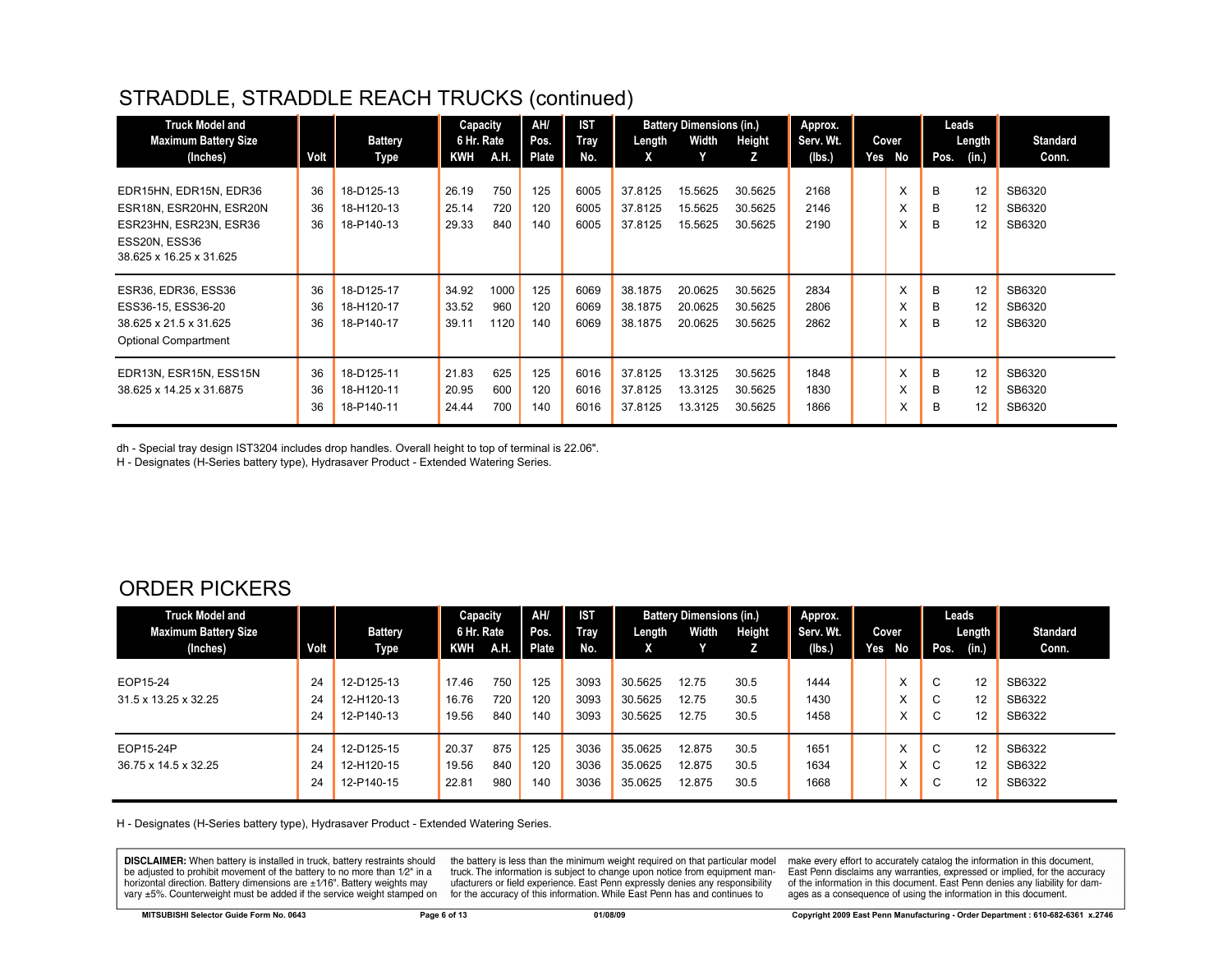## STRADDLE, STRADDLE REACH TRUCKS (continued)

| <b>Truck Model and</b><br><b>Maximum Battery Size</b>                                                                   |                | <b>Battery</b>                         | Capacity<br>6 Hr. Rate  |                     | AH/<br>Pos.       | <b>IST</b><br>Tray   | Length                        | <b>Battery Dimensions (in.)</b><br>Width | Height                        | Approx.<br>Serv. Wt. |     | Cover       | Leads       | Length $\ $    | <b>Standard</b>            |
|-------------------------------------------------------------------------------------------------------------------------|----------------|----------------------------------------|-------------------------|---------------------|-------------------|----------------------|-------------------------------|------------------------------------------|-------------------------------|----------------------|-----|-------------|-------------|----------------|----------------------------|
| (Inches)                                                                                                                | Volt           | Type                                   | <b>KWH</b>              | A.H.                | Plate             | No.                  | X                             |                                          | z                             | (Ibs.)               | Yes | No          | Pos.        | (in.)          | Conn.                      |
| EDR15HN, EDR15N, EDR36<br>ESR18N, ESR20HN, ESR20N<br>ESR23HN, ESR23N, ESR36<br>ESS20N, ESS36<br>38.625 x 16.25 x 31.625 | 36<br>36<br>36 | 18-D125-13<br>18-H120-13<br>18-P140-13 | 26.19<br>25.14<br>29.33 | 750<br>720<br>840   | 125<br>120<br>140 | 6005<br>6005<br>6005 | 37.8125<br>37.8125<br>37.8125 | 15.5625<br>15.5625<br>15.5625            | 30.5625<br>30.5625<br>30.5625 | 2168<br>2146<br>2190 |     | X<br>X<br>X | B<br>B<br>B | 12<br>12<br>12 | SB6320<br>SB6320<br>SB6320 |
| <b>ESR36, EDR36, ESS36</b><br>ESS36-15, ESS36-20<br>38.625 x 21.5 x 31.625<br><b>Optional Compartment</b>               | 36<br>36<br>36 | 18-D125-17<br>18-H120-17<br>18-P140-17 | 34.92<br>33.52<br>39.11 | 1000<br>960<br>1120 | 125<br>120<br>140 | 6069<br>6069<br>6069 | 38.1875<br>38.1875<br>38.1875 | 20.0625<br>20.0625<br>20.0625            | 30.5625<br>30.5625<br>30.5625 | 2834<br>2806<br>2862 |     | X<br>X<br>X | B<br>B<br>B | 12<br>12<br>12 | SB6320<br>SB6320<br>SB6320 |
| EDR13N, ESR15N, ESS15N<br>38.625 x 14.25 x 31.6875                                                                      | 36<br>36<br>36 | 18-D125-11<br>18-H120-11<br>18-P140-11 | 21.83<br>20.95<br>24.44 | 625<br>600<br>700   | 125<br>120<br>140 | 6016<br>6016<br>6016 | 37.8125<br>37.8125<br>37.8125 | 13.3125<br>13.3125<br>13.3125            | 30.5625<br>30.5625<br>30.5625 | 1848<br>1830<br>1866 |     | X<br>х<br>х | B<br>B<br>в | 12<br>12<br>12 | SB6320<br>SB6320<br>SB6320 |

dh - Special tray design IST3204 includes drop handles. Overall height to top of terminal is 22.06".

H - Designates (H-Series battery type), Hydrasaver Product - Extended Watering Series.

#### ORDER PICKERS

| <b>Truck Model and</b>      |      |                | Capacity   |             | AH/          | <b>IST</b>  |         | <b>Battery Dimensions (in.)</b> |        | Approx.   |        |                        | Leads       |                   |                 |
|-----------------------------|------|----------------|------------|-------------|--------------|-------------|---------|---------------------------------|--------|-----------|--------|------------------------|-------------|-------------------|-----------------|
| <b>Maximum Battery Size</b> |      | <b>Battery</b> | 6 Hr. Rate |             | Pos.         | <b>Tray</b> | Length  | Width                           | Height | Serv. Wt. | Cover  |                        |             | Length            | <b>Standard</b> |
| (Inches)                    | Volt | Type           | KWH        | <b>A.H.</b> | <b>Plate</b> | No.         | X       |                                 |        | (lbs.)    | Yes No |                        | Pos.        | (in.)             | Conn.           |
|                             |      |                |            |             |              |             |         |                                 |        |           |        |                        |             |                   |                 |
| EOP15-24                    | 24   | 12-D125-13     | 17.46      | 750         | 125          | 3093        | 30.5625 | 12.75                           | 30.5   | 1444      |        | $\lambda$              | C           | 12                | SB6322          |
| 31.5 x 13.25 x 32.25        | 24   | 12-H120-13     | 16.76      | 720         | 120          | 3093        | 30.5625 | 12.75                           | 30.5   | 1430      |        | $\lambda$              | $\sim$<br>◡ | 12                | SB6322          |
|                             | 24   | 12-P140-13     | 19.56      | 840         | 140          | 3093        | 30.5625 | 12.75                           | 30.5   | 1458      |        | ㅅ                      | $\sim$<br>Ü | $12 \overline{ }$ | SB6322          |
| EOP15-24P                   | 24   | 12-D125-15     | 20.37      | 875         | 125          | 3036        | 35.0625 | 12.875                          | 30.5   | 1651      |        | $\lambda$<br>$\lambda$ | C           | 12                | SB6322          |
| 36.75 x 14.5 x 32.25        | 24   | 12-H120-15     | 19.56      | 840         | 120          | 3036        | 35.0625 | 12.875                          | 30.5   | 1634      |        | ⋏                      | $\sim$<br>◡ | 12                | SB6322          |
|                             | 24   | 12-P140-15     | 22.81      | 980         | 140          | 3036        | 35.0625 | 12.875                          | 30.5   | 1668      |        | ㅅ                      | C           | 12                | SB6322          |

H - Designates (H-Series battery type), Hydrasaver Product - Extended Watering Series.

**DISCLAIMER:** When battery is installed in truck, battery restraints should be adjusted to prohibit movement of the battery to no more than 1/2" in a horizontal direction. Battery dimensions are  $\pm 1/16$ ". Battery weights may vary ±5%. Counterweight must be added if the service weight stamped on

the battery is less than the minimum weight required on that particular model truck. The information is subject to change upon notice from equipment manufacturers or field experience. East Penn expressly denies any responsibility for the accuracy of this information. While East Penn has and continues to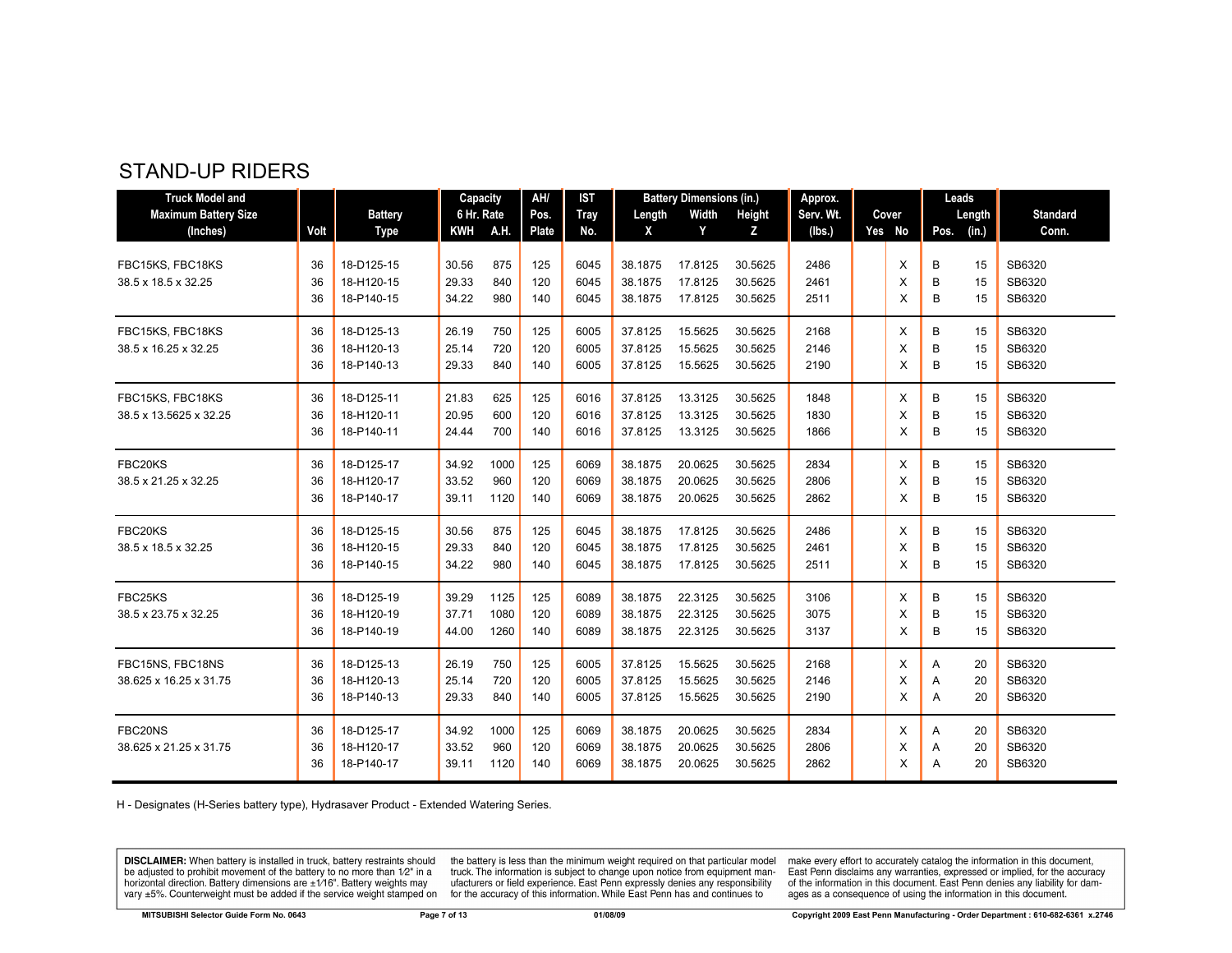#### STAND-UP RIDERS

| <b>Truck Model and</b>      |      |                | Capacity   |      | AH/   | <b>IST</b>  |         | <b>Battery Dimensions (in.)</b> |         | Approx.   |          | Leads         |    |                 |
|-----------------------------|------|----------------|------------|------|-------|-------------|---------|---------------------------------|---------|-----------|----------|---------------|----|-----------------|
| <b>Maximum Battery Size</b> |      | <b>Battery</b> | 6 Hr. Rate |      | Pos.  | <b>Tray</b> | Length  | Width                           | Height  | Serv. Wt. | Cover    | Length        |    | <b>Standard</b> |
| (Inches)                    | Volt | <b>Type</b>    | KWH A.H.   |      | Plate | No.         | X       | Y                               | z       | (lbs.)    | Yes No   | (in.)<br>Pos. |    | Conn.           |
| FBC15KS, FBC18KS            | 36   | 18-D125-15     | 30.56      | 875  | 125   | 6045        | 38.1875 | 17.8125                         | 30.5625 | 2486      | X        | В             | 15 | SB6320          |
| 38.5 x 18.5 x 32.25         | 36   | 18-H120-15     | 29.33      | 840  | 120   | 6045        | 38.1875 | 17.8125                         | 30.5625 | 2461      | X        | B             | 15 | SB6320          |
|                             | 36   | 18-P140-15     | 34.22      | 980  | 140   | 6045        | 38.1875 | 17.8125                         | 30.5625 | 2511      | X        | B             | 15 | SB6320          |
| FBC15KS, FBC18KS            | 36   | 18-D125-13     | 26.19      | 750  | 125   | 6005        | 37.8125 | 15.5625                         | 30.5625 | 2168      | Χ        | В             | 15 | SB6320          |
| 38.5 x 16.25 x 32.25        | 36   | 18-H120-13     | 25.14      | 720  | 120   | 6005        | 37.8125 | 15.5625                         | 30.5625 | 2146      | X        | B             | 15 | SB6320          |
|                             | 36   | 18-P140-13     | 29.33      | 840  | 140   | 6005        | 37.8125 | 15.5625                         | 30.5625 | 2190      | X        | B             | 15 | SB6320          |
| FBC15KS, FBC18KS            | 36   | 18-D125-11     | 21.83      | 625  | 125   | 6016        | 37.8125 | 13.3125                         | 30.5625 | 1848      | X        | B             | 15 | SB6320          |
| 38.5 x 13.5625 x 32.25      | 36   | 18-H120-11     | 20.95      | 600  | 120   | 6016        | 37.8125 | 13.3125                         | 30.5625 | 1830      | X        | B             | 15 | SB6320          |
|                             | 36   | 18-P140-11     | 24.44      | 700  | 140   | 6016        | 37.8125 | 13.3125                         | 30.5625 | 1866      | X        | B             | 15 | SB6320          |
| FBC20KS                     | 36   | 18-D125-17     | 34.92      | 1000 | 125   | 6069        | 38.1875 | 20.0625                         | 30.5625 | 2834      | X        | В             | 15 | SB6320          |
| 38.5 x 21.25 x 32.25        | 36   | 18-H120-17     | 33.52      | 960  | 120   | 6069        | 38.1875 | 20.0625                         | 30.5625 | 2806      | X        | B             | 15 | SB6320          |
|                             | 36   | 18-P140-17     | 39.11      | 1120 | 140   | 6069        | 38.1875 | 20.0625                         | 30.5625 | 2862      | X        | B             | 15 | SB6320          |
| FBC20KS                     | 36   | 18-D125-15     | 30.56      | 875  | 125   | 6045        | 38.1875 | 17.8125                         | 30.5625 | 2486      | $\times$ | В             | 15 | SB6320          |
| 38.5 x 18.5 x 32.25         | 36   | 18-H120-15     | 29.33      | 840  | 120   | 6045        | 38.1875 | 17.8125                         | 30.5625 | 2461      | X        | B             | 15 | SB6320          |
|                             | 36   | 18-P140-15     | 34.22      | 980  | 140   | 6045        | 38.1875 | 17.8125                         | 30.5625 | 2511      | X        | B             | 15 | SB6320          |
| FBC25KS                     | 36   | 18-D125-19     | 39.29      | 1125 | 125   | 6089        | 38.1875 | 22.3125                         | 30.5625 | 3106      | X        | B             | 15 | SB6320          |
| 38.5 x 23.75 x 32.25        | 36   | 18-H120-19     | 37.71      | 1080 | 120   | 6089        | 38.1875 | 22.3125                         | 30.5625 | 3075      | X        | B             | 15 | SB6320          |
|                             | 36   | 18-P140-19     | 44.00      | 1260 | 140   | 6089        | 38.1875 | 22.3125                         | 30.5625 | 3137      | X        | B             | 15 | SB6320          |
| FBC15NS, FBC18NS            | 36   | 18-D125-13     | 26.19      | 750  | 125   | 6005        | 37.8125 | 15.5625                         | 30.5625 | 2168      | Χ        | Α             | 20 | SB6320          |
| 38.625 x 16.25 x 31.75      | 36   | 18-H120-13     | 25.14      | 720  | 120   | 6005        | 37.8125 | 15.5625                         | 30.5625 | 2146      | X        | Α             | 20 | SB6320          |
|                             | 36   | 18-P140-13     | 29.33      | 840  | 140   | 6005        | 37.8125 | 15.5625                         | 30.5625 | 2190      | X        | Α             | 20 | SB6320          |
| FBC20NS                     | 36   | 18-D125-17     | 34.92      | 1000 | 125   | 6069        | 38.1875 | 20.0625                         | 30.5625 | 2834      | Χ        | Α             | 20 | SB6320          |
| 38.625 x 21.25 x 31.75      | 36   | 18-H120-17     | 33.52      | 960  | 120   | 6069        | 38.1875 | 20.0625                         | 30.5625 | 2806      | X        | Α             | 20 | SB6320          |
|                             | 36   | 18-P140-17     | 39.11      | 1120 | 140   | 6069        | 38.1875 | 20.0625                         | 30.5625 | 2862      | X        | Α             | 20 | SB6320          |

H - Designates (H-Series battery type), Hydrasaver Product - Extended Watering Series.

**DISCLAIMER:** When battery is installed in truck, battery restraints should be adjusted to prohibit movement of the battery to no more than  $1/2$ " in a horizontal direction. Battery dimensions are  $\pm 1/16$ ". Battery weig

the battery is less than the minimum weight required on that particular model<br>truck. The information is subject to change upon notice from equipment manufacturers or field experience. East Penn expressly denies any responsibility for the accuracy of this information. While East Penn has and continues to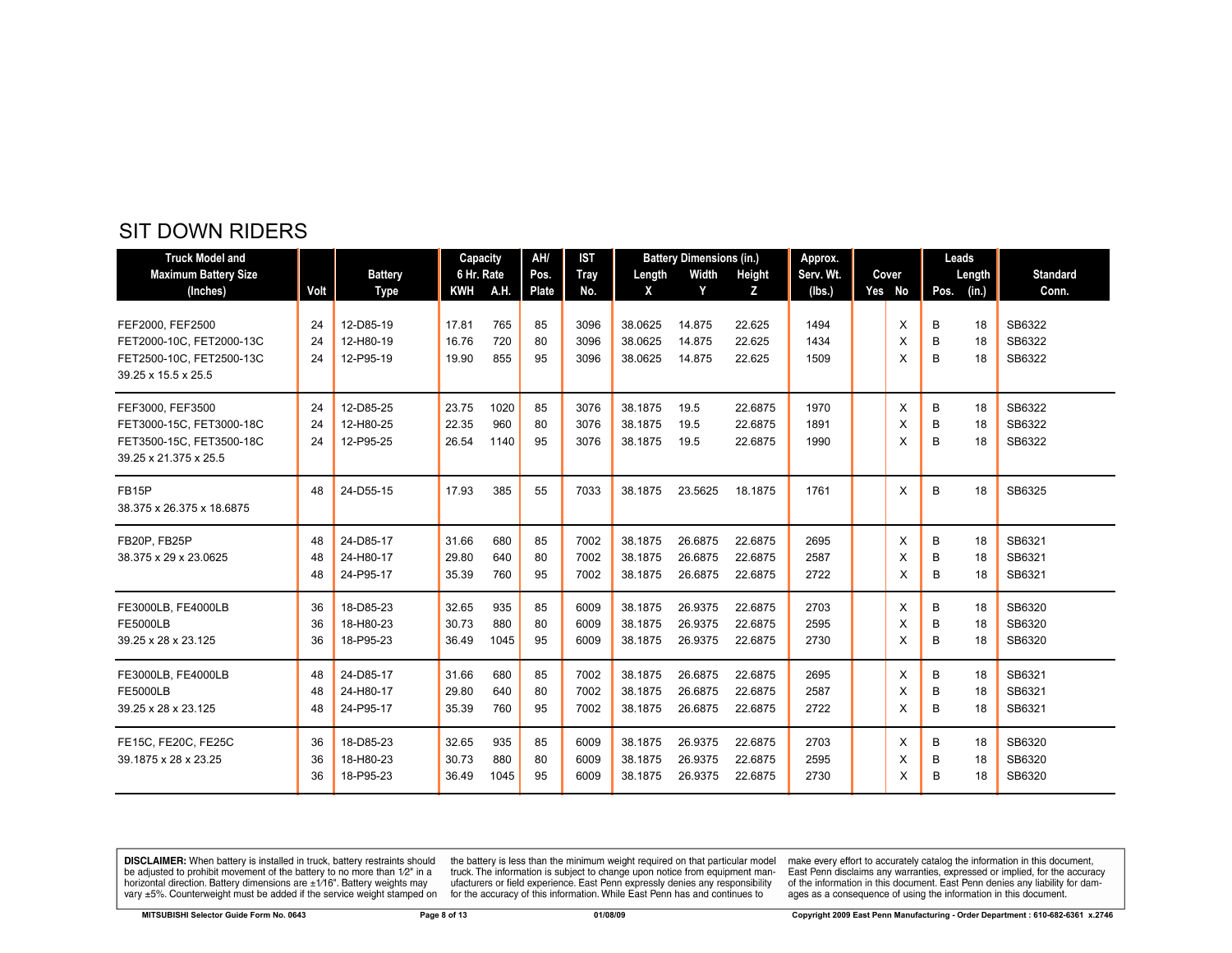| <b>Truck Model and</b>      |      |                | Capacity   |      | AH/   | <b>IST</b>  |         | <b>Battery Dimensions (in.)</b> |         | Approx.   |        | Leads |        |                 |
|-----------------------------|------|----------------|------------|------|-------|-------------|---------|---------------------------------|---------|-----------|--------|-------|--------|-----------------|
| <b>Maximum Battery Size</b> |      | <b>Battery</b> | 6 Hr. Rate |      | Pos.  | <b>Tray</b> | Length  | Width                           | Height  | Serv. Wt. | Cover  |       | Length | <b>Standard</b> |
| (Inches)                    | Volt | Type           | <b>KWH</b> | A.H. | Plate | No.         | X       | Y                               | z       | (Ibs.)    | Yes No | Pos.  | (in.)  | Conn.           |
| FEF2000, FEF2500            | 24   | 12-D85-19      | 17.81      | 765  | 85    | 3096        | 38.0625 | 14.875                          | 22.625  | 1494      | X      | В     | 18     | SB6322          |
| FET2000-10C, FET2000-13C    | 24   | 12-H80-19      | 16.76      | 720  | 80    | 3096        | 38.0625 | 14.875                          | 22.625  | 1434      | X      | B     | 18     | SB6322          |
| FET2500-10C, FET2500-13C    | 24   | 12-P95-19      | 19.90      | 855  | 95    | 3096        | 38.0625 | 14.875                          | 22.625  | 1509      | X      | B     | 18     | SB6322          |
| 39.25 x 15.5 x 25.5         |      |                |            |      |       |             |         |                                 |         |           |        |       |        |                 |
| FEF3000, FEF3500            | 24   | 12-D85-25      | 23.75      | 1020 | 85    | 3076        | 38.1875 | 19.5                            | 22.6875 | 1970      | X      | В     | 18     | SB6322          |
| FET3000-15C, FET3000-18C    | 24   | 12-H80-25      | 22.35      | 960  | 80    | 3076        | 38.1875 | 19.5                            | 22.6875 | 1891      | X      | B     | 18     | SB6322          |
| FET3500-15C, FET3500-18C    | 24   | 12-P95-25      | 26.54      | 1140 | 95    | 3076        | 38.1875 | 19.5                            | 22.6875 | 1990      | X      | B     | 18     | SB6322          |
| 39.25 x 21.375 x 25.5       |      |                |            |      |       |             |         |                                 |         |           |        |       |        |                 |
| <b>FB15P</b>                | 48   | 24-D55-15      | 17.93      | 385  | 55    | 7033        | 38.1875 | 23.5625                         | 18.1875 | 1761      | X      | B     | 18     | SB6325          |
| 38.375 x 26.375 x 18.6875   |      |                |            |      |       |             |         |                                 |         |           |        |       |        |                 |
| FB20P, FB25P                | 48   | 24-D85-17      | 31.66      | 680  | 85    | 7002        | 38.1875 | 26.6875                         | 22.6875 | 2695      | X      | B     | 18     | SB6321          |
| 38.375 x 29 x 23.0625       | 48   | 24-H80-17      | 29.80      | 640  | 80    | 7002        | 38.1875 | 26.6875                         | 22.6875 | 2587      | X      | B     | 18     | SB6321          |
|                             | 48   | 24-P95-17      | 35.39      | 760  | 95    | 7002        | 38.1875 | 26.6875                         | 22.6875 | 2722      | X      | B     | 18     | SB6321          |
| FE3000LB, FE4000LB          | 36   | 18-D85-23      | 32.65      | 935  | 85    | 6009        | 38.1875 | 26.9375                         | 22.6875 | 2703      | X      | B     | 18     | SB6320          |
| <b>FE5000LB</b>             | 36   | 18-H80-23      | 30.73      | 880  | 80    | 6009        | 38.1875 | 26.9375                         | 22.6875 | 2595      | X      | B     | 18     | SB6320          |
| 39.25 x 28 x 23.125         | 36   | 18-P95-23      | 36.49      | 1045 | 95    | 6009        | 38.1875 | 26.9375                         | 22.6875 | 2730      | X      | B     | 18     | SB6320          |
| FE3000LB, FE4000LB          | 48   | 24-D85-17      | 31.66      | 680  | 85    | 7002        | 38.1875 | 26.6875                         | 22.6875 | 2695      | X      | В     | 18     | SB6321          |
| <b>FE5000LB</b>             | 48   | 24-H80-17      | 29.80      | 640  | 80    | 7002        | 38.1875 | 26.6875                         | 22.6875 | 2587      | X      | B     | 18     | SB6321          |
| 39.25 x 28 x 23.125         | 48   | 24-P95-17      | 35.39      | 760  | 95    | 7002        | 38.1875 | 26.6875                         | 22.6875 | 2722      | X      | B     | 18     | SB6321          |
| FE15C, FE20C, FE25C         | 36   | 18-D85-23      | 32.65      | 935  | 85    | 6009        | 38.1875 | 26.9375                         | 22.6875 | 2703      | X      | В     | 18     | SB6320          |
| 39.1875 x 28 x 23.25        | 36   | 18-H80-23      | 30.73      | 880  | 80    | 6009        | 38.1875 | 26.9375                         | 22.6875 | 2595      | X      | B     | 18     | SB6320          |
|                             | 36   | 18-P95-23      | 36.49      | 1045 | 95    | 6009        | 38.1875 | 26.9375                         | 22.6875 | 2730      | X      | B     | 18     | SB6320          |

**DISCLAIMER:** When battery is installed in truck, battery restraints should be adjusted to prohibit movement of the battery to no more than  $1/2$ " in a horizontal direction. Battery dimensions are  $\pm 1/16$ ". Battery weig

the battery is less than the minimum weight required on that particular model<br>truck. The information is subject to change upon notice from equipment man-<br>ufacturers or field experience. East Penn expressly denies any respo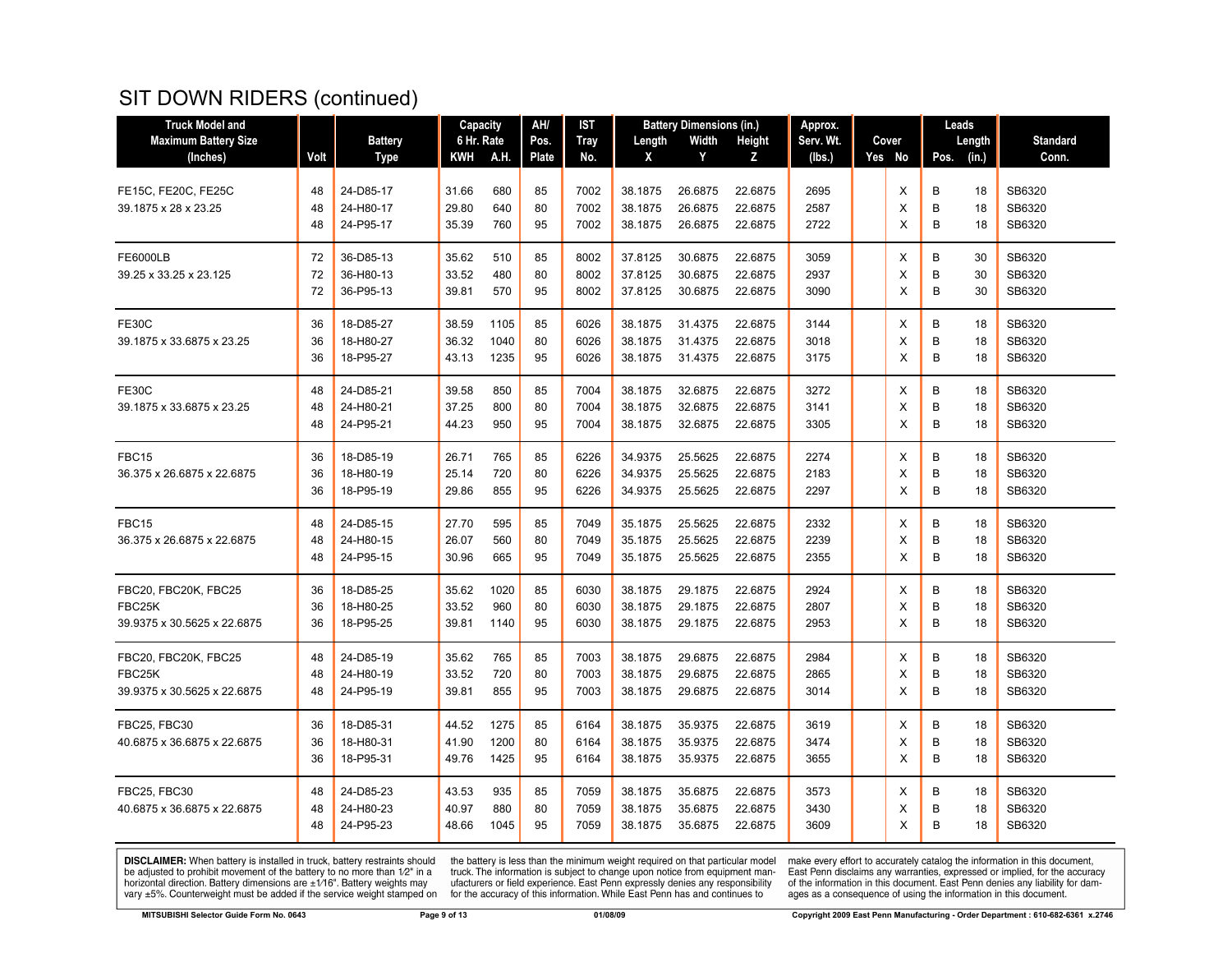## SIT DOWN RIDERS (continued)

| <b>Truck Model and</b>      |      |                | Capacity   |      | AH/   | <b>IST</b>  |         | <b>Battery Dimensions (in.)</b> |               | Approx.   |        |      | Leads  |                 |
|-----------------------------|------|----------------|------------|------|-------|-------------|---------|---------------------------------|---------------|-----------|--------|------|--------|-----------------|
| <b>Maximum Battery Size</b> |      | <b>Battery</b> | 6 Hr. Rate |      | Pos.  | <b>Tray</b> | Length  | Width                           | <b>Height</b> | Serv. Wt. | Cover  |      | Length | <b>Standard</b> |
| (Inches)                    | Volt | Type           | KWH        | A.H. | Plate | No.         | X       | Y                               | z             | (lbs.)    | Yes No | Pos. | (in.)  | Conn.           |
|                             |      |                |            |      |       |             |         |                                 |               |           |        |      |        |                 |
| FE15C, FE20C, FE25C         | 48   | 24-D85-17      | 31.66      | 680  | 85    | 7002        | 38.1875 | 26.6875                         | 22.6875       | 2695      | X      | B    | 18     | SB6320          |
| 39.1875 x 28 x 23.25        | 48   | 24-H80-17      | 29.80      | 640  | 80    | 7002        | 38.1875 | 26.6875                         | 22.6875       | 2587      | X      | B    | 18     | SB6320          |
|                             | 48   | 24-P95-17      | 35.39      | 760  | 95    | 7002        | 38.1875 | 26.6875                         | 22.6875       | 2722      | X      | B    | 18     | SB6320          |
| <b>FE6000LB</b>             | 72   | 36-D85-13      | 35.62      | 510  | 85    | 8002        | 37.8125 | 30.6875                         | 22.6875       | 3059      | X      | B    | 30     | SB6320          |
| 39.25 x 33.25 x 23.125      | 72   | 36-H80-13      | 33.52      | 480  | 80    | 8002        | 37.8125 | 30.6875                         | 22.6875       | 2937      | X      | B    | 30     | SB6320          |
|                             | 72   | 36-P95-13      | 39.81      | 570  | 95    | 8002        | 37.8125 | 30.6875                         | 22.6875       | 3090      | X      | B    | 30     | SB6320          |
| <b>FE30C</b>                | 36   | 18-D85-27      | 38.59      | 1105 | 85    | 6026        | 38.1875 | 31.4375                         | 22.6875       | 3144      | X      | B    | 18     | SB6320          |
| 39.1875 x 33.6875 x 23.25   | 36   | 18-H80-27      | 36.32      | 1040 | 80    | 6026        | 38.1875 | 31.4375                         | 22.6875       | 3018      | X      | B    | 18     | SB6320          |
|                             | 36   | 18-P95-27      | 43.13      | 1235 | 95    | 6026        | 38.1875 | 31.4375                         | 22.6875       | 3175      | X      | В    | 18     | SB6320          |
| <b>FE30C</b>                | 48   | 24-D85-21      | 39.58      | 850  | 85    | 7004        | 38.1875 | 32.6875                         | 22.6875       | 3272      | Х      | B    | 18     | SB6320          |
| 39.1875 x 33.6875 x 23.25   | 48   | 24-H80-21      | 37.25      | 800  | 80    | 7004        | 38.1875 | 32.6875                         | 22.6875       | 3141      | X      | B    | 18     | SB6320          |
|                             | 48   | 24-P95-21      | 44.23      | 950  | 95    | 7004        | 38.1875 | 32.6875                         | 22.6875       | 3305      | X      | B    | 18     | SB6320          |
| FBC15                       | 36   | 18-D85-19      | 26.71      | 765  | 85    | 6226        | 34.9375 | 25.5625                         | 22.6875       | 2274      | X      | B    | 18     | SB6320          |
| 36.375 x 26.6875 x 22.6875  | 36   | 18-H80-19      | 25.14      | 720  | 80    | 6226        | 34.9375 | 25.5625                         | 22.6875       | 2183      | X      | B    | 18     | SB6320          |
|                             | 36   | 18-P95-19      | 29.86      | 855  | 95    | 6226        | 34.9375 | 25.5625                         | 22.6875       | 2297      | X      | B    | 18     | SB6320          |
| FBC15                       | 48   | 24-D85-15      | 27.70      | 595  | 85    | 7049        | 35.1875 | 25.5625                         | 22.6875       | 2332      | Х      | B    | 18     | SB6320          |
| 36.375 x 26.6875 x 22.6875  | 48   | 24-H80-15      | 26.07      | 560  | 80    | 7049        | 35.1875 | 25.5625                         | 22.6875       | 2239      | X      | B    | 18     | SB6320          |
|                             | 48   | 24-P95-15      | 30.96      | 665  | 95    | 7049        | 35.1875 | 25.5625                         | 22.6875       | 2355      | X      | B    | 18     | SB6320          |
| FBC20, FBC20K, FBC25        | 36   | 18-D85-25      | 35.62      | 1020 | 85    | 6030        | 38.1875 | 29.1875                         | 22.6875       | 2924      | X      | B    | 18     | SB6320          |
| FBC25K                      | 36   | 18-H80-25      | 33.52      | 960  | 80    | 6030        | 38.1875 | 29.1875                         | 22.6875       | 2807      | X      | B    | 18     | SB6320          |
| 39.9375 x 30.5625 x 22.6875 | 36   | 18-P95-25      | 39.81      | 1140 | 95    | 6030        | 38.1875 | 29.1875                         | 22.6875       | 2953      | X      | B    | 18     | SB6320          |
| FBC20, FBC20K, FBC25        | 48   | 24-D85-19      | 35.62      | 765  | 85    | 7003        | 38.1875 | 29.6875                         | 22.6875       | 2984      | X      | B    | 18     | SB6320          |
| FBC25K                      | 48   | 24-H80-19      | 33.52      | 720  | 80    | 7003        | 38.1875 | 29.6875                         | 22.6875       | 2865      | X      | B    | 18     | SB6320          |
| 39.9375 x 30.5625 x 22.6875 | 48   | 24-P95-19      | 39.81      | 855  | 95    | 7003        | 38.1875 | 29.6875                         | 22.6875       | 3014      | X      | B    | 18     | SB6320          |
| <b>FBC25, FBC30</b>         | 36   | 18-D85-31      | 44.52      | 1275 | 85    | 6164        | 38.1875 | 35.9375                         | 22.6875       | 3619      | X      | B    | 18     | SB6320          |
| 40.6875 x 36.6875 x 22.6875 | 36   | 18-H80-31      | 41.90      | 1200 | 80    | 6164        | 38.1875 | 35.9375                         | 22.6875       | 3474      | Х      | B    | 18     | SB6320          |
|                             | 36   | 18-P95-31      | 49.76      | 1425 | 95    | 6164        | 38.1875 | 35.9375                         | 22.6875       | 3655      | X      | B    | 18     | SB6320          |
| <b>FBC25, FBC30</b>         | 48   | 24-D85-23      | 43.53      | 935  | 85    | 7059        | 38.1875 | 35.6875                         | 22.6875       | 3573      | Х      | B    | 18     | SB6320          |
| 40.6875 x 36.6875 x 22.6875 | 48   | 24-H80-23      | 40.97      | 880  | 80    | 7059        | 38.1875 | 35.6875                         | 22.6875       | 3430      | Х      | B    | 18     | SB6320          |
|                             | 48   | 24-P95-23      | 48.66      | 1045 | 95    | 7059        | 38.1875 | 35.6875                         | 22.6875       | 3609      | X      | B    | 18     | SB6320          |

**DISCLAIMER:** When battery is installed in truck, battery restraints should be adjusted to prohibit movement of the battery to no more than  $1/2$ " in a horizontal direction. Battery dimensions are  $\pm 1/16$ ". Battery weig

the battery is less than the minimum weight required on that particular model<br>truck. The information is subject to change upon notice from equipment man-<br>ufacturers or field experience. East Penn expressly denies any respo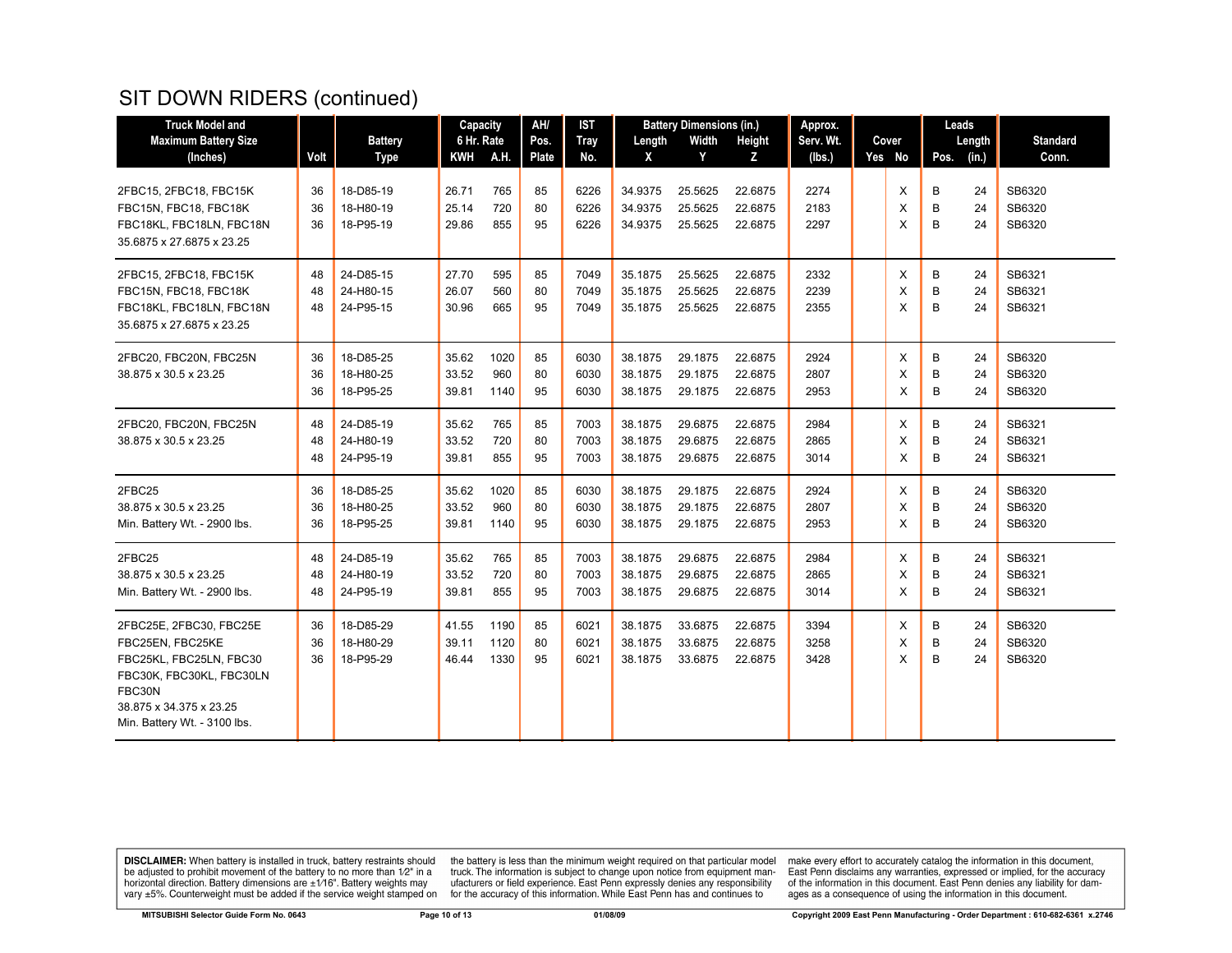# SIT DOWN RIDERS (continued)

| <b>Truck Model and</b>                            |          |                        | Capacity       |            | AH/          | <b>IST</b>   |                    | <b>Battery Dimensions (in.)</b> |                    | Approx.      |        |        | Leads    |                  |
|---------------------------------------------------|----------|------------------------|----------------|------------|--------------|--------------|--------------------|---------------------------------|--------------------|--------------|--------|--------|----------|------------------|
| <b>Maximum Battery Size</b>                       |          | <b>Battery</b>         | 6 Hr. Rate     |            | Pos.         | <b>Tray</b>  | Length             | Width                           | <b>Height</b>      | Serv. Wt.    | Cover  |        | Length   | <b>Standard</b>  |
| (Inches)                                          | Volt     | <b>Type</b>            | <b>KWH</b>     | A.H.       | <b>Plate</b> | No.          | X                  | Y                               | Z                  | (lbs.)       | Yes No | Pos.   | (in.)    | Conn.            |
|                                                   |          |                        |                |            |              |              |                    |                                 |                    |              |        |        |          |                  |
| 2FBC15, 2FBC18, FBC15K                            | 36       | 18-D85-19<br>18-H80-19 | 26.71<br>25.14 | 765<br>720 | 85<br>80     | 6226         | 34.9375<br>34.9375 | 25.5625<br>25.5625              | 22.6875<br>22.6875 | 2274<br>2183 | X      | B      | 24       | SB6320<br>SB6320 |
| FBC15N, FBC18, FBC18K<br>FBC18KL, FBC18LN, FBC18N | 36<br>36 | 18-P95-19              | 29.86          | 855        | 95           | 6226<br>6226 | 34.9375            | 25.5625                         | 22.6875            | 2297         | X<br>X | В<br>B | 24<br>24 | SB6320           |
| 35.6875 x 27.6875 x 23.25                         |          |                        |                |            |              |              |                    |                                 |                    |              |        |        |          |                  |
|                                                   |          |                        |                |            |              |              |                    |                                 |                    |              |        |        |          |                  |
| 2FBC15, 2FBC18, FBC15K                            | 48       | 24-D85-15              | 27.70          | 595        | 85           | 7049         | 35.1875            | 25.5625                         | 22.6875            | 2332         | Х      | в      | 24       | SB6321           |
| FBC15N, FBC18, FBC18K                             | 48       | 24-H80-15              | 26.07          | 560        | 80           | 7049         | 35.1875            | 25.5625                         | 22.6875            | 2239         | X      | B      | 24       | SB6321           |
| FBC18KL, FBC18LN, FBC18N                          | 48       | 24-P95-15              | 30.96          | 665        | 95           | 7049         | 35.1875            | 25.5625                         | 22.6875            | 2355         | X      | B      | 24       | SB6321           |
| 35.6875 x 27.6875 x 23.25                         |          |                        |                |            |              |              |                    |                                 |                    |              |        |        |          |                  |
| 2FBC20, FBC20N, FBC25N                            | 36       | 18-D85-25              | 35.62          | 1020       | 85           | 6030         | 38.1875            | 29.1875                         | 22.6875            | 2924         | Χ      | B      | 24       | SB6320           |
| 38.875 x 30.5 x 23.25                             | 36       | 18-H80-25              | 33.52          | 960        | 80           | 6030         | 38.1875            | 29.1875                         | 22.6875            | 2807         | X      | В      | 24       | SB6320           |
|                                                   | 36       | 18-P95-25              | 39.81          | 1140       | 95           | 6030         | 38.1875            | 29.1875                         | 22.6875            | 2953         | X      | B      | 24       | SB6320           |
|                                                   |          |                        |                |            |              |              |                    |                                 |                    |              |        |        |          |                  |
| 2FBC20, FBC20N, FBC25N                            | 48       | 24-D85-19              | 35.62          | 765        | 85           | 7003         | 38.1875            | 29.6875                         | 22.6875            | 2984         | X      | В      | 24       | SB6321           |
| 38.875 x 30.5 x 23.25                             | 48       | 24-H80-19              | 33.52          | 720        | 80           | 7003         | 38.1875            | 29.6875                         | 22.6875            | 2865         | X      | В      | 24       | SB6321           |
|                                                   | 48       | 24-P95-19              | 39.81          | 855        | 95           | 7003         | 38.1875            | 29.6875                         | 22.6875            | 3014         | X      | B      | 24       | SB6321           |
| 2FBC25                                            | 36       | 18-D85-25              | 35.62          | 1020       | 85           | 6030         | 38.1875            | 29.1875                         | 22.6875            | 2924         | Χ      | В      | 24       | SB6320           |
| 38.875 x 30.5 x 23.25                             | 36       | 18-H80-25              | 33.52          | 960        | 80           | 6030         | 38.1875            | 29.1875                         | 22.6875            | 2807         | X      | B      | 24       | SB6320           |
| Min. Battery Wt. - 2900 lbs.                      | 36       | 18-P95-25              | 39.81          | 1140       | 95           | 6030         | 38.1875            | 29.1875                         | 22.6875            | 2953         | X      | B      | 24       | SB6320           |
| 2FBC25                                            | 48       | 24-D85-19              | 35.62          | 765        | 85           | 7003         | 38.1875            | 29.6875                         | 22.6875            | 2984         | Х      | В      | 24       | SB6321           |
| 38.875 x 30.5 x 23.25                             | 48       | 24-H80-19              | 33.52          | 720        | 80           | 7003         | 38.1875            | 29.6875                         | 22.6875            | 2865         | X      | В      | 24       | SB6321           |
| Min. Battery Wt. - 2900 lbs.                      | 48       | 24-P95-19              | 39.81          | 855        | 95           | 7003         | 38.1875            | 29.6875                         | 22.6875            | 3014         | X      | B      | 24       | SB6321           |
|                                                   |          |                        |                |            |              |              |                    |                                 |                    |              |        |        |          |                  |
| 2FBC25E, 2FBC30, FBC25E                           | 36       | 18-D85-29              | 41.55          | 1190       | 85           | 6021         | 38.1875            | 33.6875                         | 22.6875            | 3394         | Х      | В      | 24       | SB6320           |
| FBC25EN, FBC25KE                                  | 36       | 18-H80-29              | 39.11          | 1120       | 80           | 6021         | 38.1875            | 33.6875                         | 22.6875            | 3258         | X      | B      | 24       | SB6320           |
| FBC25KL, FBC25LN, FBC30                           | 36       | 18-P95-29              | 46.44          | 1330       | 95           | 6021         | 38.1875            | 33.6875                         | 22.6875            | 3428         | X      | B      | 24       | SB6320           |
| FBC30K, FBC30KL, FBC30LN                          |          |                        |                |            |              |              |                    |                                 |                    |              |        |        |          |                  |
| FBC30N                                            |          |                        |                |            |              |              |                    |                                 |                    |              |        |        |          |                  |
| 38.875 x 34.375 x 23.25                           |          |                        |                |            |              |              |                    |                                 |                    |              |        |        |          |                  |
| Min. Battery Wt. - 3100 lbs.                      |          |                        |                |            |              |              |                    |                                 |                    |              |        |        |          |                  |

**DISCLAIMER:** When battery is installed in truck, battery restraints should be adjusted to prohibit movement of the battery to no more than  $1/2$ " in a horizontal direction. Battery dimensions are  $\pm 1/16$ ". Battery weig

the battery is less than the minimum weight required on that particular model<br>truck. The information is subject to change upon notice from equipment man-<br>ufacturers or field experience. East Penn expressly denies any respo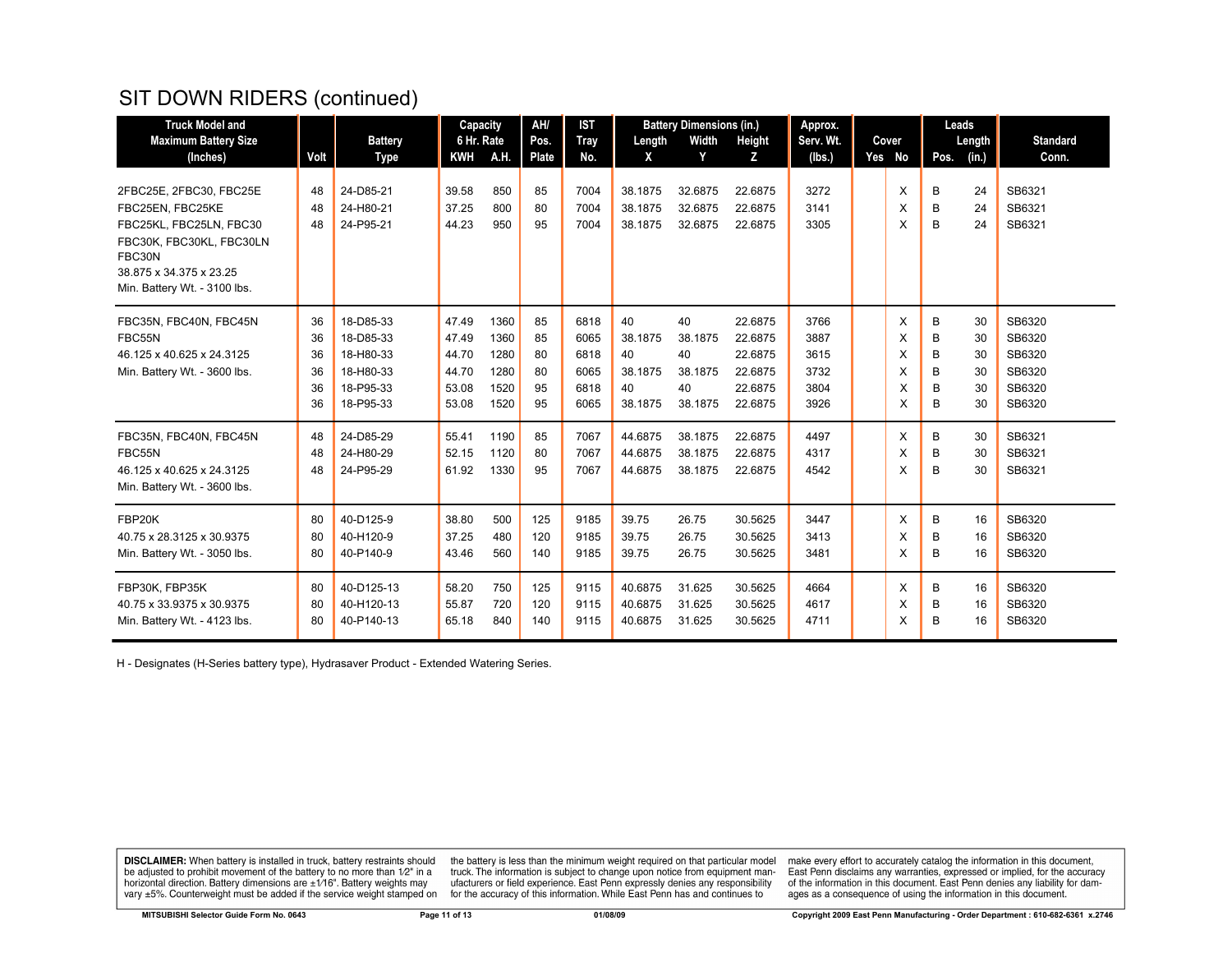# SIT DOWN RIDERS (continued)

| <b>Truck Model and</b>                  |      |                        | Capacity                 |      | AH/                  | <b>IST</b>         | <b>Battery Dimensions (in.)</b> |            |             | Approx.             |  |                 | Leads |                 |                          |
|-----------------------------------------|------|------------------------|--------------------------|------|----------------------|--------------------|---------------------------------|------------|-------------|---------------------|--|-----------------|-------|-----------------|--------------------------|
| <b>Maximum Battery Size</b><br>(Inches) | Volt | <b>Battery</b><br>Type | 6 Hr. Rate<br><b>KWH</b> | A.H. | Pos.<br><b>Plate</b> | <b>Tray</b><br>No. | Length<br>X                     | Width<br>Y | Height<br>Z | Serv. Wt.<br>(Ibs.) |  | Cover<br>Yes No | Pos.  | Length<br>(in.) | <b>Standard</b><br>Conn. |
|                                         |      |                        |                          |      |                      |                    |                                 |            |             |                     |  |                 |       |                 |                          |
| 2FBC25E, 2FBC30, FBC25E                 | 48   | 24-D85-21              | 39.58                    | 850  | 85                   | 7004               | 38.1875                         | 32.6875    | 22.6875     | 3272                |  | X               | В     | 24              | SB6321                   |
| FBC25EN. FBC25KE                        | 48   | 24-H80-21              | 37.25                    | 800  | 80                   | 7004               | 38.1875                         | 32.6875    | 22.6875     | 3141                |  | X               | B     | 24              | SB6321                   |
| FBC25KL, FBC25LN, FBC30                 | 48   | 24-P95-21              | 44.23                    | 950  | 95                   | 7004               | 38.1875                         | 32.6875    | 22.6875     | 3305                |  | X               | B     | 24              | SB6321                   |
| FBC30K, FBC30KL, FBC30LN                |      |                        |                          |      |                      |                    |                                 |            |             |                     |  |                 |       |                 |                          |
| FBC30N                                  |      |                        |                          |      |                      |                    |                                 |            |             |                     |  |                 |       |                 |                          |
| 38.875 x 34.375 x 23.25                 |      |                        |                          |      |                      |                    |                                 |            |             |                     |  |                 |       |                 |                          |
| Min. Battery Wt. - 3100 lbs.            |      |                        |                          |      |                      |                    |                                 |            |             |                     |  |                 |       |                 |                          |
| FBC35N, FBC40N, FBC45N                  | 36   | 18-D85-33              | 47.49                    | 1360 | 85                   | 6818               | 40                              | 40         | 22.6875     | 3766                |  | X               | B     | 30              | SB6320                   |
| FBC55N                                  | 36   | 18-D85-33              | 47.49                    | 1360 | 85                   | 6065               | 38.1875                         | 38.1875    | 22.6875     | 3887                |  | X               | B     | 30              | SB6320                   |
| 46.125 x 40.625 x 24.3125               | 36   | 18-H80-33              | 44.70                    | 1280 | 80                   | 6818               | 40                              | 40         | 22.6875     | 3615                |  | X               | B     | 30              | SB6320                   |
| Min. Battery Wt. - 3600 lbs.            | 36   | 18-H80-33              | 44.70                    | 1280 | 80                   | 6065               | 38.1875                         | 38.1875    | 22.6875     | 3732                |  | X               | В     | 30              | SB6320                   |
|                                         | 36   | 18-P95-33              | 53.08                    | 1520 | 95                   | 6818               | 40                              | 40         | 22.6875     | 3804                |  | X               | в     | 30              | SB6320                   |
|                                         | 36   | 18-P95-33              | 53.08                    | 1520 | 95                   | 6065               | 38.1875                         | 38.1875    | 22.6875     | 3926                |  | X               | B     | 30              | SB6320                   |
| FBC35N, FBC40N, FBC45N                  | 48   | 24-D85-29              | 55.41                    | 1190 | 85                   | 7067               | 44.6875                         | 38.1875    | 22.6875     | 4497                |  | X               | B     | 30              | SB6321                   |
| FBC55N                                  | 48   | 24-H80-29              | 52.15                    | 1120 | 80                   | 7067               | 44.6875                         | 38.1875    | 22.6875     | 4317                |  | X               | B     | 30              | SB6321                   |
| 46.125 x 40.625 x 24.3125               | 48   | 24-P95-29              | 61.92                    | 1330 | 95                   | 7067               | 44.6875                         | 38.1875    | 22.6875     | 4542                |  | X               | B     | 30              | SB6321                   |
| Min. Battery Wt. - 3600 lbs.            |      |                        |                          |      |                      |                    |                                 |            |             |                     |  |                 |       |                 |                          |
| FBP20K                                  | 80   | 40-D125-9              | 38.80                    | 500  | 125                  | 9185               | 39.75                           | 26.75      | 30.5625     | 3447                |  | X               | В     | 16              | SB6320                   |
| 40.75 x 28.3125 x 30.9375               | 80   | 40-H120-9              | 37.25                    | 480  | 120                  | 9185               | 39.75                           | 26.75      | 30.5625     | 3413                |  | X               | B     | 16              | SB6320                   |
| Min. Battery Wt. - 3050 lbs.            | 80   | 40-P140-9              | 43.46                    | 560  | 140                  | 9185               | 39.75                           | 26.75      | 30.5625     | 3481                |  | X               | B     | 16              | SB6320                   |
|                                         |      |                        |                          |      |                      |                    |                                 |            |             |                     |  |                 |       |                 |                          |
| FBP30K, FBP35K                          | 80   | 40-D125-13             | 58.20                    | 750  | 125                  | 9115               | 40.6875                         | 31.625     | 30.5625     | 4664                |  | X               | B     | 16              | SB6320                   |
| 40.75 x 33.9375 x 30.9375               | 80   | 40-H120-13             | 55.87                    | 720  | 120                  | 9115               | 40.6875                         | 31.625     | 30.5625     | 4617                |  | X               | B     | 16              | SB6320                   |
| Min. Battery Wt. - 4123 lbs.            | 80   | 40-P140-13             | 65.18                    | 840  | 140                  | 9115               | 40.6875                         | 31.625     | 30.5625     | 4711                |  | X               | B     | 16              | SB6320                   |

H - Designates (H-Series battery type), Hydrasaver Product - Extended Watering Series.

**DISCLAIMER:** When battery is installed in truck, battery restraints should be adjusted to prohibit movement of the battery to no more than  $1/2$ " in a horizontal direction. Battery dimensions are  $\pm 1/16$ ". Battery weig

the battery is less than the minimum weight required on that particular model truck. The information is subject to change upon notice from equipment manufacturers or field experience. East Penn expressly denies any respons for the accuracy of this information. While East Penn has and continues to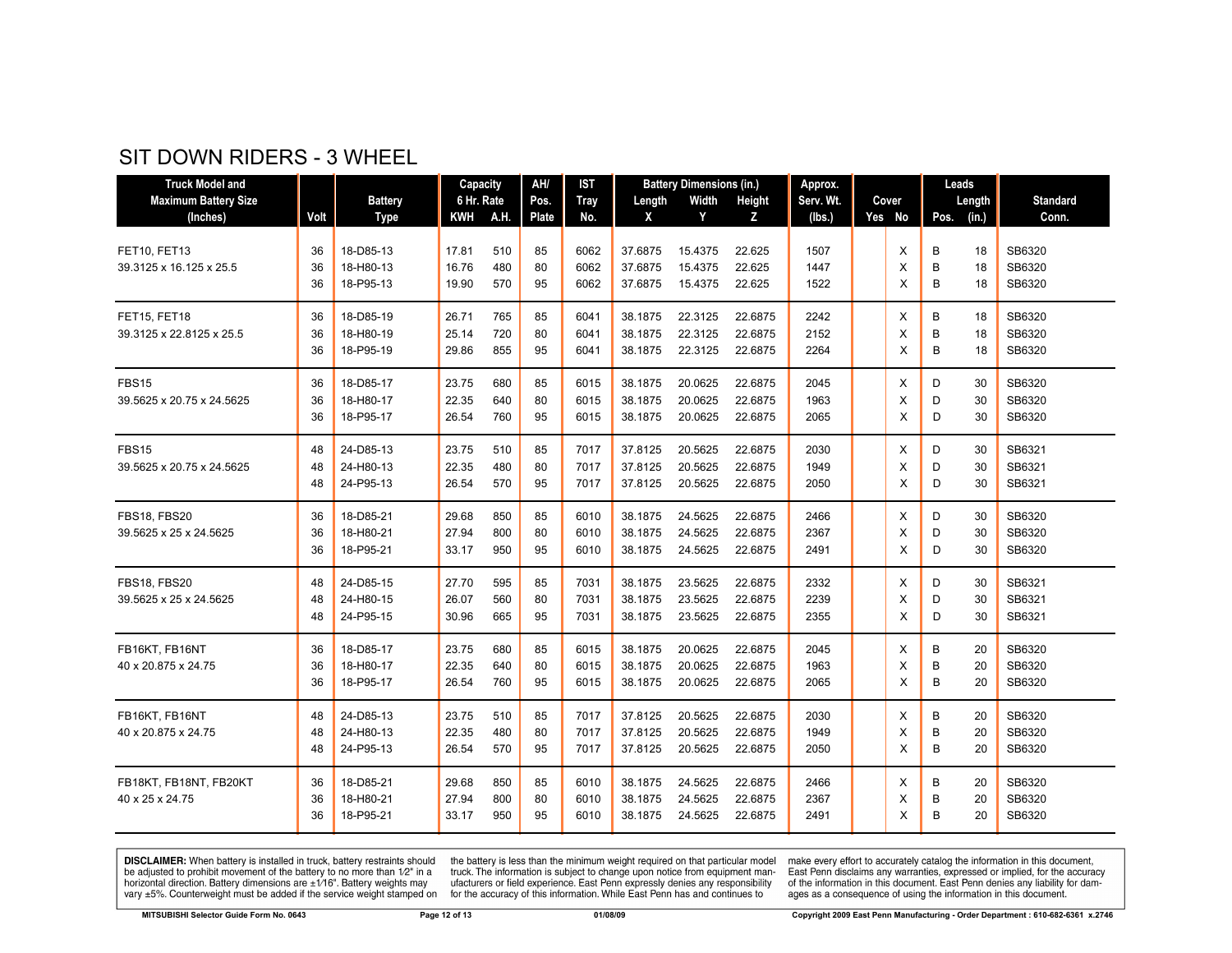#### SIT DOWN RIDERS - 3 WHEEL

| <b>Truck Model and</b>                        |                |                                     | Capacity                |                   | AH/            | <b>IST</b>           | <b>Battery Dimensions (in.)</b> |                               | Approx.                       |                      |       | Leads              |                               |                            |
|-----------------------------------------------|----------------|-------------------------------------|-------------------------|-------------------|----------------|----------------------|---------------------------------|-------------------------------|-------------------------------|----------------------|-------|--------------------|-------------------------------|----------------------------|
| <b>Maximum Battery Size</b>                   |                | <b>Battery</b>                      | 6 Hr. Rate              |                   | Pos.           | Tray                 | Length                          | Width                         | Height                        | Serv. Wt.            | Cover |                    | Length                        | <b>Standard</b>            |
| (Inches)                                      | Volt           | <b>Type</b>                         | KWH                     | A.H.              | Plate          | No.                  | X                               | Y                             | z                             | (lbs.)               |       | Yes No             | Pos.<br>(in.)                 | Conn.                      |
| FET10, FET13<br>39.3125 x 16.125 x 25.5       | 36<br>36<br>36 | 18-D85-13<br>18-H80-13<br>18-P95-13 | 17.81<br>16.76<br>19.90 | 510<br>480<br>570 | 85<br>80<br>95 | 6062<br>6062<br>6062 | 37.6875<br>37.6875<br>37.6875   | 15.4375<br>15.4375<br>15.4375 | 22.625<br>22.625<br>22.625    | 1507<br>1447<br>1522 |       | X<br>X<br>X        | В<br>18<br>В<br>18<br>B<br>18 | SB6320<br>SB6320<br>SB6320 |
| FET15, FET18<br>39.3125 x 22.8125 x 25.5      | 36<br>36<br>36 | 18-D85-19<br>18-H80-19<br>18-P95-19 | 26.71<br>25.14<br>29.86 | 765<br>720<br>855 | 85<br>80<br>95 | 6041<br>6041<br>6041 | 38.1875<br>38.1875<br>38.1875   | 22.3125<br>22.3125<br>22.3125 | 22.6875<br>22.6875<br>22.6875 | 2242<br>2152<br>2264 |       | X<br>X<br>X        | B<br>18<br>B<br>18<br>B<br>18 | SB6320<br>SB6320<br>SB6320 |
| <b>FBS15</b><br>39.5625 x 20.75 x 24.5625     | 36<br>36<br>36 | 18-D85-17<br>18-H80-17<br>18-P95-17 | 23.75<br>22.35<br>26.54 | 680<br>640<br>760 | 85<br>80<br>95 | 6015<br>6015<br>6015 | 38.1875<br>38.1875<br>38.1875   | 20.0625<br>20.0625<br>20.0625 | 22.6875<br>22.6875<br>22.6875 | 2045<br>1963<br>2065 |       | X<br>X<br>X        | D<br>30<br>D<br>30<br>D<br>30 | SB6320<br>SB6320<br>SB6320 |
| <b>FBS15</b><br>39.5625 x 20.75 x 24.5625     | 48<br>48<br>48 | 24-D85-13<br>24-H80-13<br>24-P95-13 | 23.75<br>22.35<br>26.54 | 510<br>480<br>570 | 85<br>80<br>95 | 7017<br>7017<br>7017 | 37.8125<br>37.8125<br>37.8125   | 20.5625<br>20.5625<br>20.5625 | 22.6875<br>22.6875<br>22.6875 | 2030<br>1949<br>2050 |       | Χ<br>X<br>X        | D<br>30<br>D<br>30<br>D<br>30 | SB6321<br>SB6321<br>SB6321 |
| <b>FBS18, FBS20</b><br>39.5625 x 25 x 24.5625 | 36<br>36<br>36 | 18-D85-21<br>18-H80-21<br>18-P95-21 | 29.68<br>27.94<br>33.17 | 850<br>800<br>950 | 85<br>80<br>95 | 6010<br>6010<br>6010 | 38.1875<br>38.1875<br>38.1875   | 24.5625<br>24.5625<br>24.5625 | 22.6875<br>22.6875<br>22.6875 | 2466<br>2367<br>2491 |       | $\times$<br>X<br>X | D<br>30<br>D<br>30<br>D<br>30 | SB6320<br>SB6320<br>SB6320 |
| <b>FBS18, FBS20</b><br>39.5625 x 25 x 24.5625 | 48<br>48<br>48 | 24-D85-15<br>24-H80-15<br>24-P95-15 | 27.70<br>26.07<br>30.96 | 595<br>560<br>665 | 85<br>80<br>95 | 7031<br>7031<br>7031 | 38.1875<br>38.1875<br>38.1875   | 23.5625<br>23.5625<br>23.5625 | 22.6875<br>22.6875<br>22.6875 | 2332<br>2239<br>2355 |       | X<br>X<br>X        | D<br>30<br>30<br>D<br>D<br>30 | SB6321<br>SB6321<br>SB6321 |
| FB16KT, FB16NT<br>40 x 20.875 x 24.75         | 36<br>36<br>36 | 18-D85-17<br>18-H80-17<br>18-P95-17 | 23.75<br>22.35<br>26.54 | 680<br>640<br>760 | 85<br>80<br>95 | 6015<br>6015<br>6015 | 38.1875<br>38.1875<br>38.1875   | 20.0625<br>20.0625<br>20.0625 | 22.6875<br>22.6875<br>22.6875 | 2045<br>1963<br>2065 |       | X<br>X<br>X        | В<br>20<br>B<br>20<br>B<br>20 | SB6320<br>SB6320<br>SB6320 |
| FB16KT, FB16NT<br>40 x 20.875 x 24.75         | 48<br>48<br>48 | 24-D85-13<br>24-H80-13<br>24-P95-13 | 23.75<br>22.35<br>26.54 | 510<br>480<br>570 | 85<br>80<br>95 | 7017<br>7017<br>7017 | 37.8125<br>37.8125<br>37.8125   | 20.5625<br>20.5625<br>20.5625 | 22.6875<br>22.6875<br>22.6875 | 2030<br>1949<br>2050 |       | X<br>X<br>X        | B<br>20<br>B<br>20<br>B<br>20 | SB6320<br>SB6320<br>SB6320 |
| FB18KT, FB18NT, FB20KT<br>40 x 25 x 24.75     | 36<br>36<br>36 | 18-D85-21<br>18-H80-21<br>18-P95-21 | 29.68<br>27.94<br>33.17 | 850<br>800<br>950 | 85<br>80<br>95 | 6010<br>6010<br>6010 | 38.1875<br>38.1875<br>38.1875   | 24.5625<br>24.5625<br>24.5625 | 22.6875<br>22.6875<br>22.6875 | 2466<br>2367<br>2491 |       | X<br>X<br>X        | В<br>20<br>В<br>20<br>B<br>20 | SB6320<br>SB6320<br>SB6320 |

**DISCLAIMER:** When battery is installed in truck, battery restraints should be adjusted to prohibit movement of the battery to no more than 1/2" in a horizontal direction. Battery dimensions are  $\pm 1/16$ ". Battery weights vary ±5%. Counterweight must be added if the service weight stamped on

the battery is less than the minimum weight required on that particular model<br>truck. The information is subject to change upon notice from equipment man-<br>ufacturers or field experience. East Penn expressly denies any respo for the accuracy of this information. While East Penn has and continues to